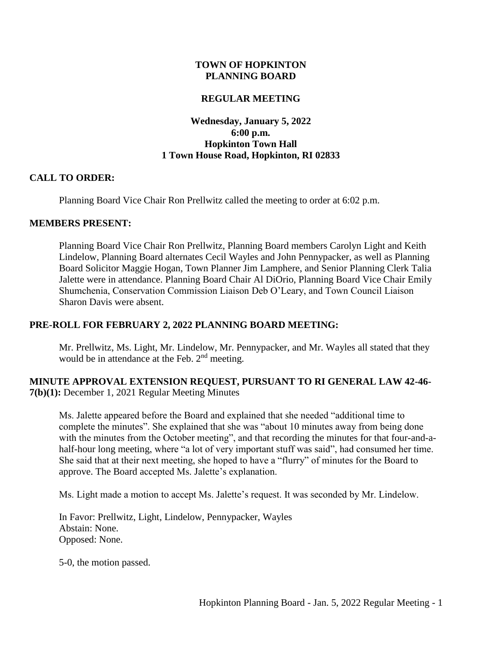#### **TOWN OF HOPKINTON PLANNING BOARD**

#### **REGULAR MEETING**

### **Wednesday, January 5, 2022 6:00 p.m. Hopkinton Town Hall 1 Town House Road, Hopkinton, RI 02833**

#### **CALL TO ORDER:**

Planning Board Vice Chair Ron Prellwitz called the meeting to order at 6:02 p.m.

#### **MEMBERS PRESENT:**

Planning Board Vice Chair Ron Prellwitz, Planning Board members Carolyn Light and Keith Lindelow, Planning Board alternates Cecil Wayles and John Pennypacker, as well as Planning Board Solicitor Maggie Hogan, Town Planner Jim Lamphere, and Senior Planning Clerk Talia Jalette were in attendance. Planning Board Chair Al DiOrio, Planning Board Vice Chair Emily Shumchenia, Conservation Commission Liaison Deb O'Leary, and Town Council Liaison Sharon Davis were absent.

#### **PRE-ROLL FOR FEBRUARY 2, 2022 PLANNING BOARD MEETING:**

Mr. Prellwitz, Ms. Light, Mr. Lindelow, Mr. Pennypacker, and Mr. Wayles all stated that they would be in attendance at the Feb. 2<sup>nd</sup> meeting.

#### **MINUTE APPROVAL EXTENSION REQUEST, PURSUANT TO RI GENERAL LAW 42-46- 7(b)(1):** December 1, 2021 Regular Meeting Minutes

Ms. Jalette appeared before the Board and explained that she needed "additional time to complete the minutes". She explained that she was "about 10 minutes away from being done with the minutes from the October meeting", and that recording the minutes for that four-and-ahalf-hour long meeting, where "a lot of very important stuff was said", had consumed her time. She said that at their next meeting, she hoped to have a "flurry" of minutes for the Board to approve. The Board accepted Ms. Jalette's explanation.

Ms. Light made a motion to accept Ms. Jalette's request. It was seconded by Mr. Lindelow.

In Favor: Prellwitz, Light, Lindelow, Pennypacker, Wayles Abstain: None. Opposed: None.

5-0, the motion passed.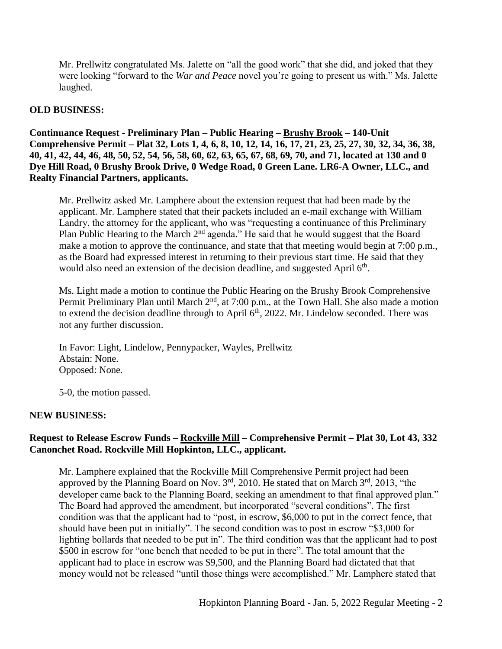Mr. Prellwitz congratulated Ms. Jalette on "all the good work" that she did, and joked that they were looking "forward to the *War and Peace* novel you're going to present us with." Ms. Jalette laughed.

### **OLD BUSINESS:**

**Continuance Request - Preliminary Plan – Public Hearing – Brushy Brook – 140-Unit Comprehensive Permit – Plat 32, Lots 1, 4, 6, 8, 10, 12, 14, 16, 17, 21, 23, 25, 27, 30, 32, 34, 36, 38, 40, 41, 42, 44, 46, 48, 50, 52, 54, 56, 58, 60, 62, 63, 65, 67, 68, 69, 70, and 71, located at 130 and 0 Dye Hill Road, 0 Brushy Brook Drive, 0 Wedge Road, 0 Green Lane. LR6-A Owner, LLC., and Realty Financial Partners, applicants.** 

Mr. Prellwitz asked Mr. Lamphere about the extension request that had been made by the applicant. Mr. Lamphere stated that their packets included an e-mail exchange with William Landry, the attorney for the applicant, who was "requesting a continuance of this Preliminary Plan Public Hearing to the March 2<sup>nd</sup> agenda." He said that he would suggest that the Board make a motion to approve the continuance, and state that that meeting would begin at 7:00 p.m., as the Board had expressed interest in returning to their previous start time. He said that they would also need an extension of the decision deadline, and suggested April 6<sup>th</sup>.

Ms. Light made a motion to continue the Public Hearing on the Brushy Brook Comprehensive Permit Preliminary Plan until March 2<sup>nd</sup>, at 7:00 p.m., at the Town Hall. She also made a motion to extend the decision deadline through to April  $6<sup>th</sup>$ , 2022. Mr. Lindelow seconded. There was not any further discussion.

In Favor: Light, Lindelow, Pennypacker, Wayles, Prellwitz Abstain: None. Opposed: None.

5-0, the motion passed.

# **NEW BUSINESS:**

# **Request to Release Escrow Funds – Rockville Mill – Comprehensive Permit – Plat 30, Lot 43, 332 Canonchet Road. Rockville Mill Hopkinton, LLC., applicant.**

Mr. Lamphere explained that the Rockville Mill Comprehensive Permit project had been approved by the Planning Board on Nov.  $3<sup>rd</sup>$ , 2010. He stated that on March  $3<sup>rd</sup>$ , 2013, "the developer came back to the Planning Board, seeking an amendment to that final approved plan." The Board had approved the amendment, but incorporated "several conditions". The first condition was that the applicant had to "post, in escrow, \$6,000 to put in the correct fence, that should have been put in initially". The second condition was to post in escrow "\$3,000 for lighting bollards that needed to be put in". The third condition was that the applicant had to post \$500 in escrow for "one bench that needed to be put in there". The total amount that the applicant had to place in escrow was \$9,500, and the Planning Board had dictated that that money would not be released "until those things were accomplished." Mr. Lamphere stated that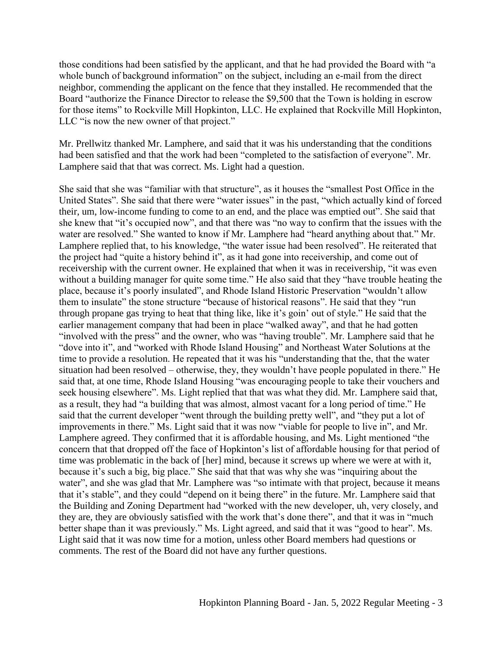those conditions had been satisfied by the applicant, and that he had provided the Board with "a whole bunch of background information" on the subject, including an e-mail from the direct neighbor, commending the applicant on the fence that they installed. He recommended that the Board "authorize the Finance Director to release the \$9,500 that the Town is holding in escrow for those items" to Rockville Mill Hopkinton, LLC. He explained that Rockville Mill Hopkinton, LLC "is now the new owner of that project."

Mr. Prellwitz thanked Mr. Lamphere, and said that it was his understanding that the conditions had been satisfied and that the work had been "completed to the satisfaction of everyone". Mr. Lamphere said that that was correct. Ms. Light had a question.

She said that she was "familiar with that structure", as it houses the "smallest Post Office in the United States". She said that there were "water issues" in the past, "which actually kind of forced their, um, low-income funding to come to an end, and the place was emptied out". She said that she knew that "it's occupied now", and that there was "no way to confirm that the issues with the water are resolved." She wanted to know if Mr. Lamphere had "heard anything about that." Mr. Lamphere replied that, to his knowledge, "the water issue had been resolved". He reiterated that the project had "quite a history behind it", as it had gone into receivership, and come out of receivership with the current owner. He explained that when it was in receivership, "it was even without a building manager for quite some time." He also said that they "have trouble heating the place, because it's poorly insulated", and Rhode Island Historic Preservation "wouldn't allow them to insulate" the stone structure "because of historical reasons". He said that they "run through propane gas trying to heat that thing like, like it's goin' out of style." He said that the earlier management company that had been in place "walked away", and that he had gotten "involved with the press" and the owner, who was "having trouble". Mr. Lamphere said that he "dove into it", and "worked with Rhode Island Housing" and Northeast Water Solutions at the time to provide a resolution. He repeated that it was his "understanding that the, that the water situation had been resolved – otherwise, they, they wouldn't have people populated in there." He said that, at one time, Rhode Island Housing "was encouraging people to take their vouchers and seek housing elsewhere". Ms. Light replied that that was what they did. Mr. Lamphere said that, as a result, they had "a building that was almost, almost vacant for a long period of time." He said that the current developer "went through the building pretty well", and "they put a lot of improvements in there." Ms. Light said that it was now "viable for people to live in", and Mr. Lamphere agreed. They confirmed that it is affordable housing, and Ms. Light mentioned "the concern that that dropped off the face of Hopkinton's list of affordable housing for that period of time was problematic in the back of [her] mind, because it screws up where we were at with it, because it's such a big, big place." She said that that was why she was "inquiring about the water", and she was glad that Mr. Lamphere was "so intimate with that project, because it means that it's stable", and they could "depend on it being there" in the future. Mr. Lamphere said that the Building and Zoning Department had "worked with the new developer, uh, very closely, and they are, they are obviously satisfied with the work that's done there", and that it was in "much better shape than it was previously." Ms. Light agreed, and said that it was "good to hear". Ms. Light said that it was now time for a motion, unless other Board members had questions or comments. The rest of the Board did not have any further questions.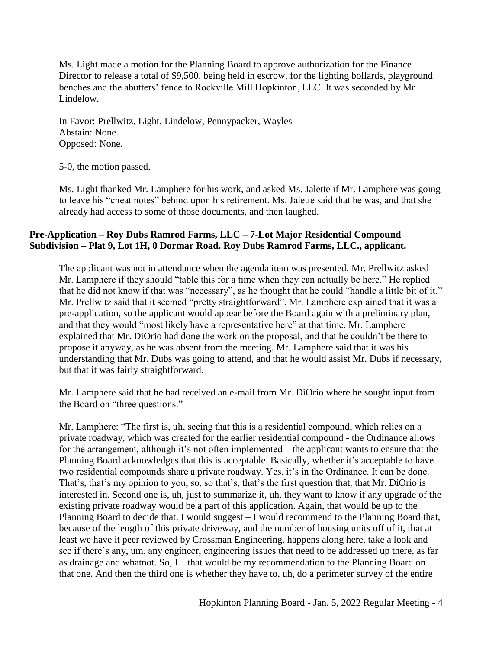Ms. Light made a motion for the Planning Board to approve authorization for the Finance Director to release a total of \$9,500, being held in escrow, for the lighting bollards, playground benches and the abutters' fence to Rockville Mill Hopkinton, LLC. It was seconded by Mr. Lindelow.

In Favor: Prellwitz, Light, Lindelow, Pennypacker, Wayles Abstain: None. Opposed: None.

5-0, the motion passed.

Ms. Light thanked Mr. Lamphere for his work, and asked Ms. Jalette if Mr. Lamphere was going to leave his "cheat notes" behind upon his retirement. Ms. Jalette said that he was, and that she already had access to some of those documents, and then laughed.

# **Pre-Application – Roy Dubs Ramrod Farms, LLC – 7-Lot Major Residential Compound Subdivision – Plat 9, Lot 1H, 0 Dormar Road. Roy Dubs Ramrod Farms, LLC., applicant.**

The applicant was not in attendance when the agenda item was presented. Mr. Prellwitz asked Mr. Lamphere if they should "table this for a time when they can actually be here." He replied that he did not know if that was "necessary", as he thought that he could "handle a little bit of it." Mr. Prellwitz said that it seemed "pretty straightforward". Mr. Lamphere explained that it was a pre-application, so the applicant would appear before the Board again with a preliminary plan, and that they would "most likely have a representative here" at that time. Mr. Lamphere explained that Mr. DiOrio had done the work on the proposal, and that he couldn't be there to propose it anyway, as he was absent from the meeting. Mr. Lamphere said that it was his understanding that Mr. Dubs was going to attend, and that he would assist Mr. Dubs if necessary, but that it was fairly straightforward.

Mr. Lamphere said that he had received an e-mail from Mr. DiOrio where he sought input from the Board on "three questions."

Mr. Lamphere: "The first is, uh, seeing that this is a residential compound, which relies on a private roadway, which was created for the earlier residential compound - the Ordinance allows for the arrangement, although it's not often implemented – the applicant wants to ensure that the Planning Board acknowledges that this is acceptable. Basically, whether it's acceptable to have two residential compounds share a private roadway. Yes, it's in the Ordinance. It can be done. That's, that's my opinion to you, so, so that's, that's the first question that, that Mr. DiOrio is interested in. Second one is, uh, just to summarize it, uh, they want to know if any upgrade of the existing private roadway would be a part of this application. Again, that would be up to the Planning Board to decide that. I would suggest – I would recommend to the Planning Board that, because of the length of this private driveway, and the number of housing units off of it, that at least we have it peer reviewed by Crossman Engineering, happens along here, take a look and see if there's any, um, any engineer, engineering issues that need to be addressed up there, as far as drainage and whatnot. So, I – that would be my recommendation to the Planning Board on that one. And then the third one is whether they have to, uh, do a perimeter survey of the entire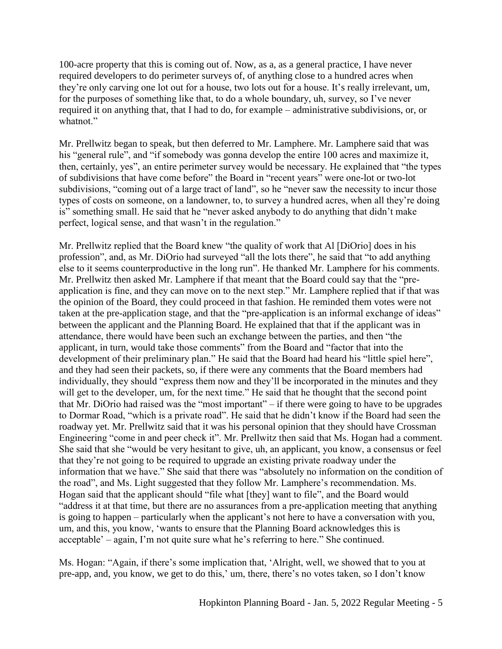100-acre property that this is coming out of. Now, as a, as a general practice, I have never required developers to do perimeter surveys of, of anything close to a hundred acres when they're only carving one lot out for a house, two lots out for a house. It's really irrelevant, um, for the purposes of something like that, to do a whole boundary, uh, survey, so I've never required it on anything that, that I had to do, for example – administrative subdivisions, or, or whatnot."

Mr. Prellwitz began to speak, but then deferred to Mr. Lamphere. Mr. Lamphere said that was his "general rule", and "if somebody was gonna develop the entire 100 acres and maximize it, then, certainly, yes", an entire perimeter survey would be necessary. He explained that "the types of subdivisions that have come before" the Board in "recent years" were one-lot or two-lot subdivisions, "coming out of a large tract of land", so he "never saw the necessity to incur those types of costs on someone, on a landowner, to, to survey a hundred acres, when all they're doing is" something small. He said that he "never asked anybody to do anything that didn't make perfect, logical sense, and that wasn't in the regulation."

Mr. Prellwitz replied that the Board knew "the quality of work that Al [DiOrio] does in his profession", and, as Mr. DiOrio had surveyed "all the lots there", he said that "to add anything else to it seems counterproductive in the long run". He thanked Mr. Lamphere for his comments. Mr. Prellwitz then asked Mr. Lamphere if that meant that the Board could say that the "preapplication is fine, and they can move on to the next step." Mr. Lamphere replied that if that was the opinion of the Board, they could proceed in that fashion. He reminded them votes were not taken at the pre-application stage, and that the "pre-application is an informal exchange of ideas" between the applicant and the Planning Board. He explained that that if the applicant was in attendance, there would have been such an exchange between the parties, and then "the applicant, in turn, would take those comments" from the Board and "factor that into the development of their preliminary plan." He said that the Board had heard his "little spiel here", and they had seen their packets, so, if there were any comments that the Board members had individually, they should "express them now and they'll be incorporated in the minutes and they will get to the developer, um, for the next time." He said that he thought that the second point that Mr. DiOrio had raised was the "most important" – if there were going to have to be upgrades to Dormar Road, "which is a private road". He said that he didn't know if the Board had seen the roadway yet. Mr. Prellwitz said that it was his personal opinion that they should have Crossman Engineering "come in and peer check it". Mr. Prellwitz then said that Ms. Hogan had a comment. She said that she "would be very hesitant to give, uh, an applicant, you know, a consensus or feel that they're not going to be required to upgrade an existing private roadway under the information that we have." She said that there was "absolutely no information on the condition of the road", and Ms. Light suggested that they follow Mr. Lamphere's recommendation. Ms. Hogan said that the applicant should "file what [they] want to file", and the Board would "address it at that time, but there are no assurances from a pre-application meeting that anything is going to happen – particularly when the applicant's not here to have a conversation with you, um, and this, you know, 'wants to ensure that the Planning Board acknowledges this is acceptable' – again, I'm not quite sure what he's referring to here." She continued.

Ms. Hogan: "Again, if there's some implication that, 'Alright, well, we showed that to you at pre-app, and, you know, we get to do this,' um, there, there's no votes taken, so I don't know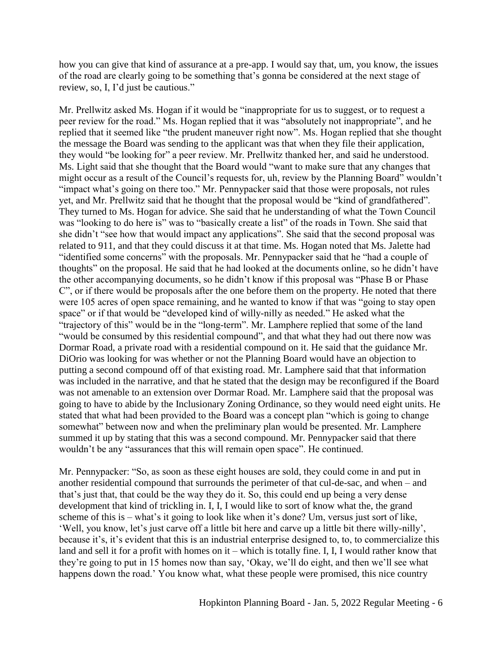how you can give that kind of assurance at a pre-app. I would say that, um, you know, the issues of the road are clearly going to be something that's gonna be considered at the next stage of review, so, I, I'd just be cautious."

Mr. Prellwitz asked Ms. Hogan if it would be "inappropriate for us to suggest, or to request a peer review for the road." Ms. Hogan replied that it was "absolutely not inappropriate", and he replied that it seemed like "the prudent maneuver right now". Ms. Hogan replied that she thought the message the Board was sending to the applicant was that when they file their application, they would "be looking for" a peer review. Mr. Prellwitz thanked her, and said he understood. Ms. Light said that she thought that the Board would "want to make sure that any changes that might occur as a result of the Council's requests for, uh, review by the Planning Board" wouldn't "impact what's going on there too." Mr. Pennypacker said that those were proposals, not rules yet, and Mr. Prellwitz said that he thought that the proposal would be "kind of grandfathered". They turned to Ms. Hogan for advice. She said that he understanding of what the Town Council was "looking to do here is" was to "basically create a list" of the roads in Town. She said that she didn't "see how that would impact any applications". She said that the second proposal was related to 911, and that they could discuss it at that time. Ms. Hogan noted that Ms. Jalette had "identified some concerns" with the proposals. Mr. Pennypacker said that he "had a couple of thoughts" on the proposal. He said that he had looked at the documents online, so he didn't have the other accompanying documents, so he didn't know if this proposal was "Phase B or Phase C", or if there would be proposals after the one before them on the property. He noted that there were 105 acres of open space remaining, and he wanted to know if that was "going to stay open space" or if that would be "developed kind of willy-nilly as needed." He asked what the "trajectory of this" would be in the "long-term". Mr. Lamphere replied that some of the land "would be consumed by this residential compound", and that what they had out there now was Dormar Road, a private road with a residential compound on it. He said that the guidance Mr. DiOrio was looking for was whether or not the Planning Board would have an objection to putting a second compound off of that existing road. Mr. Lamphere said that that information was included in the narrative, and that he stated that the design may be reconfigured if the Board was not amenable to an extension over Dormar Road. Mr. Lamphere said that the proposal was going to have to abide by the Inclusionary Zoning Ordinance, so they would need eight units. He stated that what had been provided to the Board was a concept plan "which is going to change somewhat" between now and when the preliminary plan would be presented. Mr. Lamphere summed it up by stating that this was a second compound. Mr. Pennypacker said that there wouldn't be any "assurances that this will remain open space". He continued.

Mr. Pennypacker: "So, as soon as these eight houses are sold, they could come in and put in another residential compound that surrounds the perimeter of that cul-de-sac, and when – and that's just that, that could be the way they do it. So, this could end up being a very dense development that kind of trickling in. I, I, I would like to sort of know what the, the grand scheme of this is – what's it going to look like when it's done? Um, versus just sort of like, 'Well, you know, let's just carve off a little bit here and carve up a little bit there willy-nilly', because it's, it's evident that this is an industrial enterprise designed to, to, to commercialize this land and sell it for a profit with homes on it – which is totally fine. I, I, I would rather know that they're going to put in 15 homes now than say, 'Okay, we'll do eight, and then we'll see what happens down the road.' You know what, what these people were promised, this nice country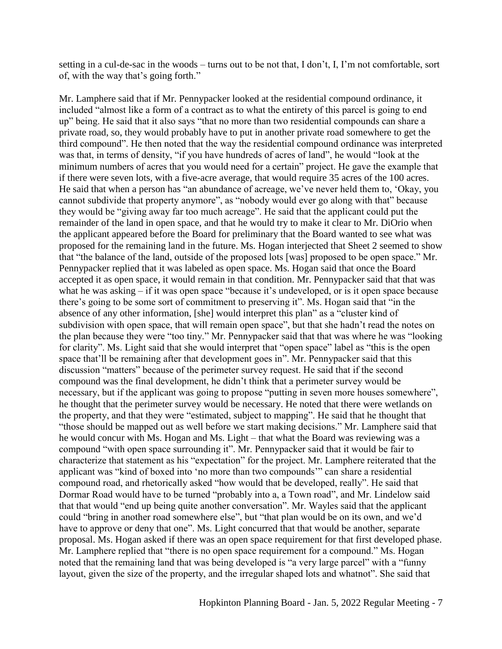setting in a cul-de-sac in the woods – turns out to be not that, I don't, I, I'm not comfortable, sort of, with the way that's going forth."

Mr. Lamphere said that if Mr. Pennypacker looked at the residential compound ordinance, it included "almost like a form of a contract as to what the entirety of this parcel is going to end up" being. He said that it also says "that no more than two residential compounds can share a private road, so, they would probably have to put in another private road somewhere to get the third compound". He then noted that the way the residential compound ordinance was interpreted was that, in terms of density, "if you have hundreds of acres of land", he would "look at the minimum numbers of acres that you would need for a certain" project. He gave the example that if there were seven lots, with a five-acre average, that would require 35 acres of the 100 acres. He said that when a person has "an abundance of acreage, we've never held them to, 'Okay, you cannot subdivide that property anymore", as "nobody would ever go along with that" because they would be "giving away far too much acreage". He said that the applicant could put the remainder of the land in open space, and that he would try to make it clear to Mr. DiOrio when the applicant appeared before the Board for preliminary that the Board wanted to see what was proposed for the remaining land in the future. Ms. Hogan interjected that Sheet 2 seemed to show that "the balance of the land, outside of the proposed lots [was] proposed to be open space." Mr. Pennypacker replied that it was labeled as open space. Ms. Hogan said that once the Board accepted it as open space, it would remain in that condition. Mr. Pennypacker said that that was what he was asking – if it was open space "because it's undeveloped, or is it open space because there's going to be some sort of commitment to preserving it". Ms. Hogan said that "in the absence of any other information, [she] would interpret this plan" as a "cluster kind of subdivision with open space, that will remain open space", but that she hadn't read the notes on the plan because they were "too tiny." Mr. Pennypacker said that that was where he was "looking for clarity". Ms. Light said that she would interpret that "open space" label as "this is the open space that'll be remaining after that development goes in". Mr. Pennypacker said that this discussion "matters" because of the perimeter survey request. He said that if the second compound was the final development, he didn't think that a perimeter survey would be necessary, but if the applicant was going to propose "putting in seven more houses somewhere", he thought that the perimeter survey would be necessary. He noted that there were wetlands on the property, and that they were "estimated, subject to mapping". He said that he thought that "those should be mapped out as well before we start making decisions." Mr. Lamphere said that he would concur with Ms. Hogan and Ms. Light – that what the Board was reviewing was a compound "with open space surrounding it". Mr. Pennypacker said that it would be fair to characterize that statement as his "expectation" for the project. Mr. Lamphere reiterated that the applicant was "kind of boxed into 'no more than two compounds'" can share a residential compound road, and rhetorically asked "how would that be developed, really". He said that Dormar Road would have to be turned "probably into a, a Town road", and Mr. Lindelow said that that would "end up being quite another conversation". Mr. Wayles said that the applicant could "bring in another road somewhere else", but "that plan would be on its own, and we'd have to approve or deny that one". Ms. Light concurred that that would be another, separate proposal. Ms. Hogan asked if there was an open space requirement for that first developed phase. Mr. Lamphere replied that "there is no open space requirement for a compound." Ms. Hogan noted that the remaining land that was being developed is "a very large parcel" with a "funny layout, given the size of the property, and the irregular shaped lots and whatnot". She said that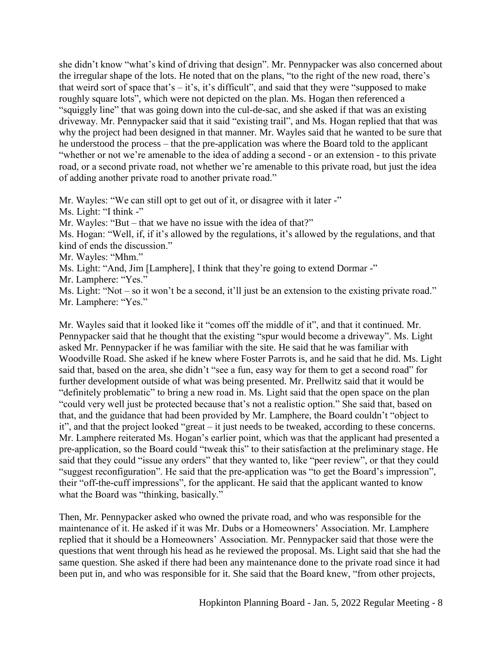she didn't know "what's kind of driving that design". Mr. Pennypacker was also concerned about the irregular shape of the lots. He noted that on the plans, "to the right of the new road, there's that weird sort of space that's  $-$  it's, it's difficult", and said that they were "supposed to make roughly square lots", which were not depicted on the plan. Ms. Hogan then referenced a "squiggly line" that was going down into the cul-de-sac, and she asked if that was an existing driveway. Mr. Pennypacker said that it said "existing trail", and Ms. Hogan replied that that was why the project had been designed in that manner. Mr. Wayles said that he wanted to be sure that he understood the process – that the pre-application was where the Board told to the applicant "whether or not we're amenable to the idea of adding a second - or an extension - to this private road, or a second private road, not whether we're amenable to this private road, but just the idea of adding another private road to another private road."

Mr. Wayles: "We can still opt to get out of it, or disagree with it later -"

Ms. Light: "I think -"

Mr. Wayles: "But – that we have no issue with the idea of that?"

Ms. Hogan: "Well, if, if it's allowed by the regulations, it's allowed by the regulations, and that kind of ends the discussion."

Mr. Wayles: "Mhm."

Ms. Light: "And, Jim [Lamphere], I think that they're going to extend Dormar -"

Mr. Lamphere: "Yes."

Ms. Light: "Not – so it won't be a second, it'll just be an extension to the existing private road." Mr. Lamphere: "Yes."

Mr. Wayles said that it looked like it "comes off the middle of it", and that it continued. Mr. Pennypacker said that he thought that the existing "spur would become a driveway". Ms. Light asked Mr. Pennypacker if he was familiar with the site. He said that he was familiar with Woodville Road. She asked if he knew where Foster Parrots is, and he said that he did. Ms. Light said that, based on the area, she didn't "see a fun, easy way for them to get a second road" for further development outside of what was being presented. Mr. Prellwitz said that it would be "definitely problematic" to bring a new road in. Ms. Light said that the open space on the plan "could very well just be protected because that's not a realistic option." She said that, based on that, and the guidance that had been provided by Mr. Lamphere, the Board couldn't "object to it", and that the project looked "great – it just needs to be tweaked, according to these concerns. Mr. Lamphere reiterated Ms. Hogan's earlier point, which was that the applicant had presented a pre-application, so the Board could "tweak this" to their satisfaction at the preliminary stage. He said that they could "issue any orders" that they wanted to, like "peer review", or that they could "suggest reconfiguration". He said that the pre-application was "to get the Board's impression", their "off-the-cuff impressions", for the applicant. He said that the applicant wanted to know what the Board was "thinking, basically."

Then, Mr. Pennypacker asked who owned the private road, and who was responsible for the maintenance of it. He asked if it was Mr. Dubs or a Homeowners' Association. Mr. Lamphere replied that it should be a Homeowners' Association. Mr. Pennypacker said that those were the questions that went through his head as he reviewed the proposal. Ms. Light said that she had the same question. She asked if there had been any maintenance done to the private road since it had been put in, and who was responsible for it. She said that the Board knew, "from other projects,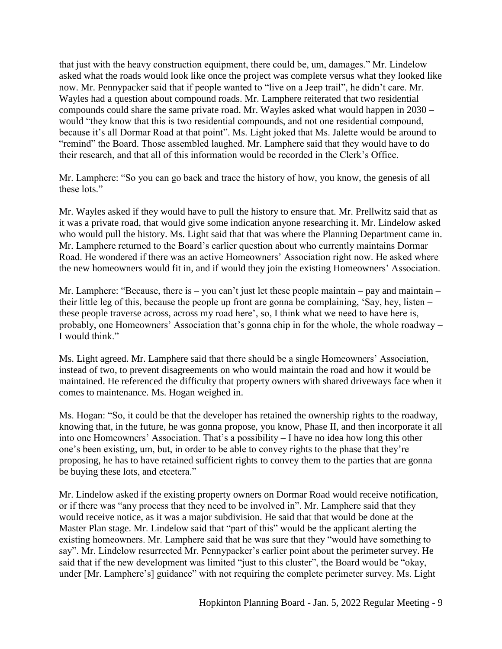that just with the heavy construction equipment, there could be, um, damages." Mr. Lindelow asked what the roads would look like once the project was complete versus what they looked like now. Mr. Pennypacker said that if people wanted to "live on a Jeep trail", he didn't care. Mr. Wayles had a question about compound roads. Mr. Lamphere reiterated that two residential compounds could share the same private road. Mr. Wayles asked what would happen in 2030 – would "they know that this is two residential compounds, and not one residential compound, because it's all Dormar Road at that point". Ms. Light joked that Ms. Jalette would be around to "remind" the Board. Those assembled laughed. Mr. Lamphere said that they would have to do their research, and that all of this information would be recorded in the Clerk's Office.

Mr. Lamphere: "So you can go back and trace the history of how, you know, the genesis of all these lots."

Mr. Wayles asked if they would have to pull the history to ensure that. Mr. Prellwitz said that as it was a private road, that would give some indication anyone researching it. Mr. Lindelow asked who would pull the history. Ms. Light said that that was where the Planning Department came in. Mr. Lamphere returned to the Board's earlier question about who currently maintains Dormar Road. He wondered if there was an active Homeowners' Association right now. He asked where the new homeowners would fit in, and if would they join the existing Homeowners' Association.

Mr. Lamphere: "Because, there is – you can't just let these people maintain – pay and maintain – their little leg of this, because the people up front are gonna be complaining, 'Say, hey, listen – these people traverse across, across my road here', so, I think what we need to have here is, probably, one Homeowners' Association that's gonna chip in for the whole, the whole roadway – I would think."

Ms. Light agreed. Mr. Lamphere said that there should be a single Homeowners' Association, instead of two, to prevent disagreements on who would maintain the road and how it would be maintained. He referenced the difficulty that property owners with shared driveways face when it comes to maintenance. Ms. Hogan weighed in.

Ms. Hogan: "So, it could be that the developer has retained the ownership rights to the roadway, knowing that, in the future, he was gonna propose, you know, Phase II, and then incorporate it all into one Homeowners' Association. That's a possibility – I have no idea how long this other one's been existing, um, but, in order to be able to convey rights to the phase that they're proposing, he has to have retained sufficient rights to convey them to the parties that are gonna be buying these lots, and etcetera."

Mr. Lindelow asked if the existing property owners on Dormar Road would receive notification, or if there was "any process that they need to be involved in". Mr. Lamphere said that they would receive notice, as it was a major subdivision. He said that that would be done at the Master Plan stage. Mr. Lindelow said that "part of this" would be the applicant alerting the existing homeowners. Mr. Lamphere said that he was sure that they "would have something to say". Mr. Lindelow resurrected Mr. Pennypacker's earlier point about the perimeter survey. He said that if the new development was limited "just to this cluster", the Board would be "okay, under [Mr. Lamphere's] guidance" with not requiring the complete perimeter survey. Ms. Light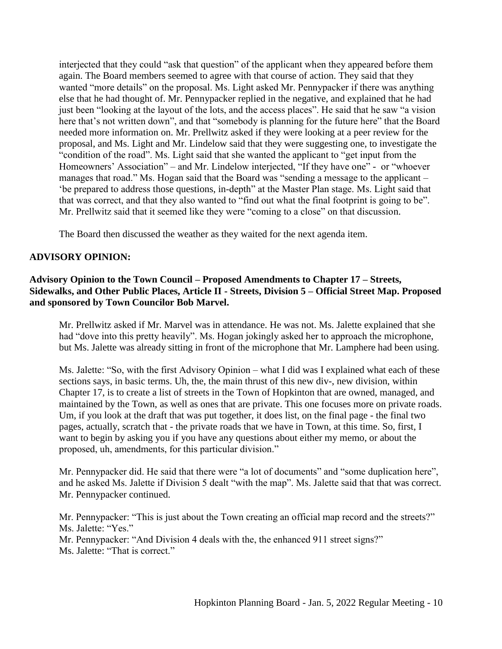interjected that they could "ask that question" of the applicant when they appeared before them again. The Board members seemed to agree with that course of action. They said that they wanted "more details" on the proposal. Ms. Light asked Mr. Pennypacker if there was anything else that he had thought of. Mr. Pennypacker replied in the negative, and explained that he had just been "looking at the layout of the lots, and the access places". He said that he saw "a vision here that's not written down", and that "somebody is planning for the future here" that the Board needed more information on. Mr. Prellwitz asked if they were looking at a peer review for the proposal, and Ms. Light and Mr. Lindelow said that they were suggesting one, to investigate the "condition of the road". Ms. Light said that she wanted the applicant to "get input from the Homeowners' Association" – and Mr. Lindelow interjected, "If they have one" - or "whoever manages that road." Ms. Hogan said that the Board was "sending a message to the applicant – 'be prepared to address those questions, in-depth" at the Master Plan stage. Ms. Light said that that was correct, and that they also wanted to "find out what the final footprint is going to be". Mr. Prellwitz said that it seemed like they were "coming to a close" on that discussion.

The Board then discussed the weather as they waited for the next agenda item.

# **ADVISORY OPINION:**

# **Advisory Opinion to the Town Council – Proposed Amendments to Chapter 17 – Streets, Sidewalks, and Other Public Places, Article II - Streets, Division 5 – Official Street Map. Proposed and sponsored by Town Councilor Bob Marvel.**

Mr. Prellwitz asked if Mr. Marvel was in attendance. He was not. Ms. Jalette explained that she had "dove into this pretty heavily". Ms. Hogan jokingly asked her to approach the microphone, but Ms. Jalette was already sitting in front of the microphone that Mr. Lamphere had been using.

Ms. Jalette: "So, with the first Advisory Opinion – what I did was I explained what each of these sections says, in basic terms. Uh, the, the main thrust of this new div-, new division, within Chapter 17, is to create a list of streets in the Town of Hopkinton that are owned, managed, and maintained by the Town, as well as ones that are private. This one focuses more on private roads. Um, if you look at the draft that was put together, it does list, on the final page - the final two pages, actually, scratch that - the private roads that we have in Town, at this time. So, first, I want to begin by asking you if you have any questions about either my memo, or about the proposed, uh, amendments, for this particular division."

Mr. Pennypacker did. He said that there were "a lot of documents" and "some duplication here", and he asked Ms. Jalette if Division 5 dealt "with the map". Ms. Jalette said that that was correct. Mr. Pennypacker continued.

Mr. Pennypacker: "This is just about the Town creating an official map record and the streets?" Ms. Jalette: "Yes."

Mr. Pennypacker: "And Division 4 deals with the, the enhanced 911 street signs?"

Ms. Jalette: "That is correct."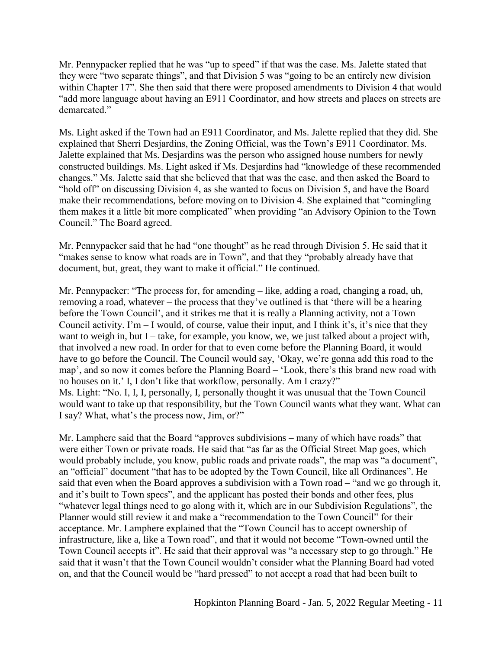Mr. Pennypacker replied that he was "up to speed" if that was the case. Ms. Jalette stated that they were "two separate things", and that Division 5 was "going to be an entirely new division within Chapter 17". She then said that there were proposed amendments to Division 4 that would "add more language about having an E911 Coordinator, and how streets and places on streets are demarcated."

Ms. Light asked if the Town had an E911 Coordinator, and Ms. Jalette replied that they did. She explained that Sherri Desjardins, the Zoning Official, was the Town's E911 Coordinator. Ms. Jalette explained that Ms. Desjardins was the person who assigned house numbers for newly constructed buildings. Ms. Light asked if Ms. Desjardins had "knowledge of these recommended changes." Ms. Jalette said that she believed that that was the case, and then asked the Board to "hold off" on discussing Division 4, as she wanted to focus on Division 5, and have the Board make their recommendations, before moving on to Division 4. She explained that "comingling them makes it a little bit more complicated" when providing "an Advisory Opinion to the Town Council." The Board agreed.

Mr. Pennypacker said that he had "one thought" as he read through Division 5. He said that it "makes sense to know what roads are in Town", and that they "probably already have that document, but, great, they want to make it official." He continued.

Mr. Pennypacker: "The process for, for amending – like, adding a road, changing a road, uh, removing a road, whatever – the process that they've outlined is that 'there will be a hearing before the Town Council', and it strikes me that it is really a Planning activity, not a Town Council activity. I'm  $-$  I would, of course, value their input, and I think it's, it's nice that they want to weigh in, but  $I$  – take, for example, you know, we, we just talked about a project with, that involved a new road. In order for that to even come before the Planning Board, it would have to go before the Council. The Council would say, 'Okay, we're gonna add this road to the map', and so now it comes before the Planning Board – 'Look, there's this brand new road with no houses on it.' I, I don't like that workflow, personally. Am I crazy?" Ms. Light: "No. I, I, I, personally, I, personally thought it was unusual that the Town Council would want to take up that responsibility, but the Town Council wants what they want. What can I say? What, what's the process now, Jim, or?"

Mr. Lamphere said that the Board "approves subdivisions – many of which have roads" that were either Town or private roads. He said that "as far as the Official Street Map goes, which would probably include, you know, public roads and private roads", the map was "a document", an "official" document "that has to be adopted by the Town Council, like all Ordinances". He said that even when the Board approves a subdivision with a Town road – "and we go through it, and it's built to Town specs", and the applicant has posted their bonds and other fees, plus "whatever legal things need to go along with it, which are in our Subdivision Regulations", the Planner would still review it and make a "recommendation to the Town Council" for their acceptance. Mr. Lamphere explained that the "Town Council has to accept ownership of infrastructure, like a, like a Town road", and that it would not become "Town-owned until the Town Council accepts it". He said that their approval was "a necessary step to go through." He said that it wasn't that the Town Council wouldn't consider what the Planning Board had voted on, and that the Council would be "hard pressed" to not accept a road that had been built to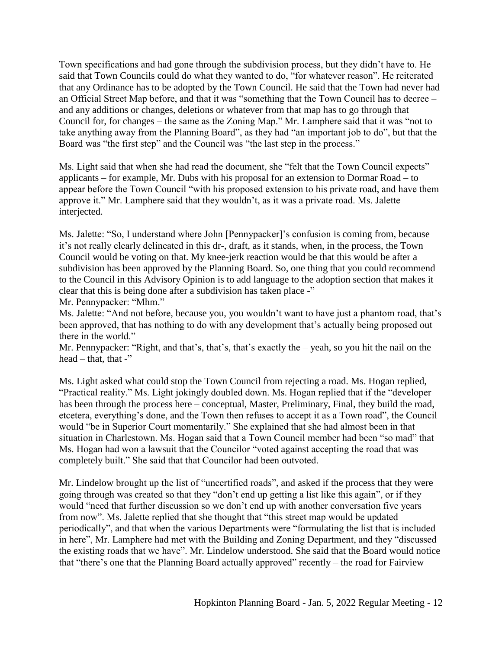Town specifications and had gone through the subdivision process, but they didn't have to. He said that Town Councils could do what they wanted to do, "for whatever reason". He reiterated that any Ordinance has to be adopted by the Town Council. He said that the Town had never had an Official Street Map before, and that it was "something that the Town Council has to decree – and any additions or changes, deletions or whatever from that map has to go through that Council for, for changes – the same as the Zoning Map." Mr. Lamphere said that it was "not to take anything away from the Planning Board", as they had "an important job to do", but that the Board was "the first step" and the Council was "the last step in the process."

Ms. Light said that when she had read the document, she "felt that the Town Council expects" applicants – for example, Mr. Dubs with his proposal for an extension to Dormar Road – to appear before the Town Council "with his proposed extension to his private road, and have them approve it." Mr. Lamphere said that they wouldn't, as it was a private road. Ms. Jalette interjected.

Ms. Jalette: "So, I understand where John [Pennypacker]'s confusion is coming from, because it's not really clearly delineated in this dr-, draft, as it stands, when, in the process, the Town Council would be voting on that. My knee-jerk reaction would be that this would be after a subdivision has been approved by the Planning Board. So, one thing that you could recommend to the Council in this Advisory Opinion is to add language to the adoption section that makes it clear that this is being done after a subdivision has taken place -"

Mr. Pennypacker: "Mhm."

Ms. Jalette: "And not before, because you, you wouldn't want to have just a phantom road, that's been approved, that has nothing to do with any development that's actually being proposed out there in the world."

Mr. Pennypacker: "Right, and that's, that's, that's exactly the – yeah, so you hit the nail on the head – that, that -"

Ms. Light asked what could stop the Town Council from rejecting a road. Ms. Hogan replied, "Practical reality." Ms. Light jokingly doubled down. Ms. Hogan replied that if the "developer has been through the process here – conceptual, Master, Preliminary, Final, they build the road, etcetera, everything's done, and the Town then refuses to accept it as a Town road", the Council would "be in Superior Court momentarily." She explained that she had almost been in that situation in Charlestown. Ms. Hogan said that a Town Council member had been "so mad" that Ms. Hogan had won a lawsuit that the Councilor "voted against accepting the road that was completely built." She said that that Councilor had been outvoted.

Mr. Lindelow brought up the list of "uncertified roads", and asked if the process that they were going through was created so that they "don't end up getting a list like this again", or if they would "need that further discussion so we don't end up with another conversation five years from now". Ms. Jalette replied that she thought that "this street map would be updated periodically", and that when the various Departments were "formulating the list that is included in here", Mr. Lamphere had met with the Building and Zoning Department, and they "discussed the existing roads that we have". Mr. Lindelow understood. She said that the Board would notice that "there's one that the Planning Board actually approved" recently – the road for Fairview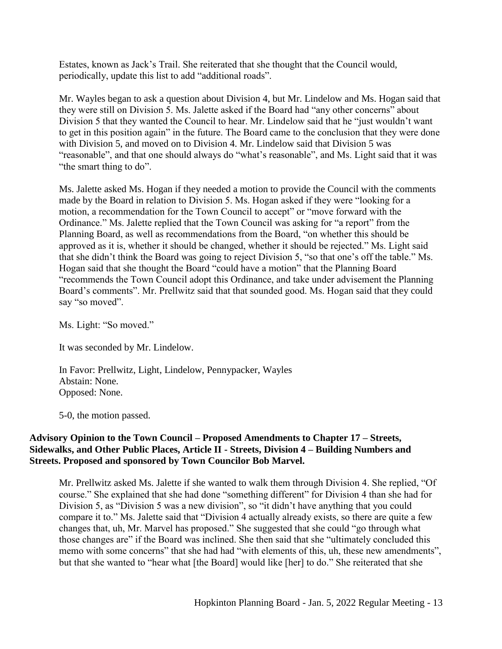Estates, known as Jack's Trail. She reiterated that she thought that the Council would, periodically, update this list to add "additional roads".

Mr. Wayles began to ask a question about Division 4, but Mr. Lindelow and Ms. Hogan said that they were still on Division 5. Ms. Jalette asked if the Board had "any other concerns" about Division 5 that they wanted the Council to hear. Mr. Lindelow said that he "just wouldn't want to get in this position again" in the future. The Board came to the conclusion that they were done with Division 5, and moved on to Division 4. Mr. Lindelow said that Division 5 was "reasonable", and that one should always do "what's reasonable", and Ms. Light said that it was "the smart thing to do".

Ms. Jalette asked Ms. Hogan if they needed a motion to provide the Council with the comments made by the Board in relation to Division 5. Ms. Hogan asked if they were "looking for a motion, a recommendation for the Town Council to accept" or "move forward with the Ordinance." Ms. Jalette replied that the Town Council was asking for "a report" from the Planning Board, as well as recommendations from the Board, "on whether this should be approved as it is, whether it should be changed, whether it should be rejected." Ms. Light said that she didn't think the Board was going to reject Division 5, "so that one's off the table." Ms. Hogan said that she thought the Board "could have a motion" that the Planning Board "recommends the Town Council adopt this Ordinance, and take under advisement the Planning Board's comments". Mr. Prellwitz said that that sounded good. Ms. Hogan said that they could say "so moved".

Ms. Light: "So moved."

It was seconded by Mr. Lindelow.

In Favor: Prellwitz, Light, Lindelow, Pennypacker, Wayles Abstain: None. Opposed: None.

5-0, the motion passed.

### **Advisory Opinion to the Town Council – Proposed Amendments to Chapter 17 – Streets, Sidewalks, and Other Public Places, Article II - Streets, Division 4 – Building Numbers and Streets. Proposed and sponsored by Town Councilor Bob Marvel.**

Mr. Prellwitz asked Ms. Jalette if she wanted to walk them through Division 4. She replied, "Of course." She explained that she had done "something different" for Division 4 than she had for Division 5, as "Division 5 was a new division", so "it didn't have anything that you could compare it to." Ms. Jalette said that "Division 4 actually already exists, so there are quite a few changes that, uh, Mr. Marvel has proposed." She suggested that she could "go through what those changes are" if the Board was inclined. She then said that she "ultimately concluded this memo with some concerns" that she had had "with elements of this, uh, these new amendments", but that she wanted to "hear what [the Board] would like [her] to do." She reiterated that she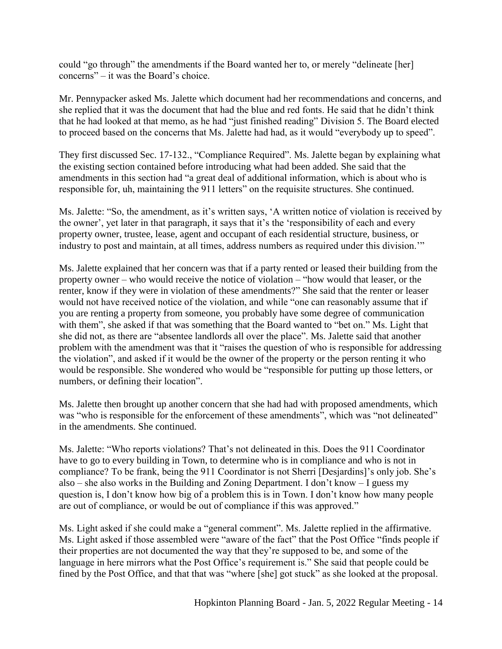could "go through" the amendments if the Board wanted her to, or merely "delineate [her] concerns" – it was the Board's choice.

Mr. Pennypacker asked Ms. Jalette which document had her recommendations and concerns, and she replied that it was the document that had the blue and red fonts. He said that he didn't think that he had looked at that memo, as he had "just finished reading" Division 5. The Board elected to proceed based on the concerns that Ms. Jalette had had, as it would "everybody up to speed".

They first discussed Sec. 17-132., "Compliance Required". Ms. Jalette began by explaining what the existing section contained before introducing what had been added. She said that the amendments in this section had "a great deal of additional information, which is about who is responsible for, uh, maintaining the 911 letters" on the requisite structures. She continued.

Ms. Jalette: "So, the amendment, as it's written says, 'A written notice of violation is received by the owner', yet later in that paragraph, it says that it's the 'responsibility of each and every property owner, trustee, lease, agent and occupant of each residential structure, business, or industry to post and maintain, at all times, address numbers as required under this division.'"

Ms. Jalette explained that her concern was that if a party rented or leased their building from the property owner – who would receive the notice of violation – "how would that leaser, or the renter, know if they were in violation of these amendments?" She said that the renter or leaser would not have received notice of the violation, and while "one can reasonably assume that if you are renting a property from someone, you probably have some degree of communication with them", she asked if that was something that the Board wanted to "bet on." Ms. Light that she did not, as there are "absentee landlords all over the place". Ms. Jalette said that another problem with the amendment was that it "raises the question of who is responsible for addressing the violation", and asked if it would be the owner of the property or the person renting it who would be responsible. She wondered who would be "responsible for putting up those letters, or numbers, or defining their location".

Ms. Jalette then brought up another concern that she had had with proposed amendments, which was "who is responsible for the enforcement of these amendments", which was "not delineated" in the amendments. She continued.

Ms. Jalette: "Who reports violations? That's not delineated in this. Does the 911 Coordinator have to go to every building in Town, to determine who is in compliance and who is not in compliance? To be frank, being the 911 Coordinator is not Sherri [Desjardins]'s only job. She's also – she also works in the Building and Zoning Department. I don't know – I guess my question is, I don't know how big of a problem this is in Town. I don't know how many people are out of compliance, or would be out of compliance if this was approved."

Ms. Light asked if she could make a "general comment". Ms. Jalette replied in the affirmative. Ms. Light asked if those assembled were "aware of the fact" that the Post Office "finds people if their properties are not documented the way that they're supposed to be, and some of the language in here mirrors what the Post Office's requirement is." She said that people could be fined by the Post Office, and that that was "where [she] got stuck" as she looked at the proposal.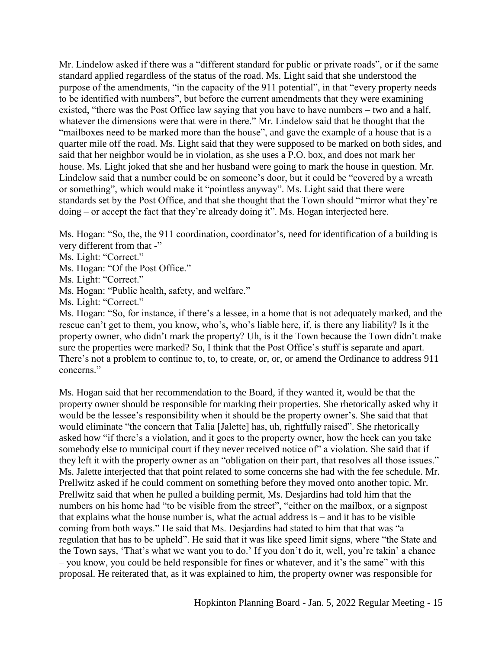Mr. Lindelow asked if there was a "different standard for public or private roads", or if the same standard applied regardless of the status of the road. Ms. Light said that she understood the purpose of the amendments, "in the capacity of the 911 potential", in that "every property needs to be identified with numbers", but before the current amendments that they were examining existed, "there was the Post Office law saying that you have to have numbers – two and a half, whatever the dimensions were that were in there." Mr. Lindelow said that he thought that the "mailboxes need to be marked more than the house", and gave the example of a house that is a quarter mile off the road. Ms. Light said that they were supposed to be marked on both sides, and said that her neighbor would be in violation, as she uses a P.O. box, and does not mark her house. Ms. Light joked that she and her husband were going to mark the house in question. Mr. Lindelow said that a number could be on someone's door, but it could be "covered by a wreath or something", which would make it "pointless anyway". Ms. Light said that there were standards set by the Post Office, and that she thought that the Town should "mirror what they're doing – or accept the fact that they're already doing it". Ms. Hogan interjected here.

Ms. Hogan: "So, the, the 911 coordination, coordinator's, need for identification of a building is very different from that -"

Ms. Light: "Correct."

Ms. Hogan: "Of the Post Office."

Ms. Light: "Correct."

Ms. Hogan: "Public health, safety, and welfare."

Ms. Light: "Correct."

Ms. Hogan: "So, for instance, if there's a lessee, in a home that is not adequately marked, and the rescue can't get to them, you know, who's, who's liable here, if, is there any liability? Is it the property owner, who didn't mark the property? Uh, is it the Town because the Town didn't make sure the properties were marked? So, I think that the Post Office's stuff is separate and apart. There's not a problem to continue to, to, to create, or, or, or amend the Ordinance to address 911 concerns."

Ms. Hogan said that her recommendation to the Board, if they wanted it, would be that the property owner should be responsible for marking their properties. She rhetorically asked why it would be the lessee's responsibility when it should be the property owner's. She said that that would eliminate "the concern that Talia [Jalette] has, uh, rightfully raised". She rhetorically asked how "if there's a violation, and it goes to the property owner, how the heck can you take somebody else to municipal court if they never received notice of" a violation. She said that if they left it with the property owner as an "obligation on their part, that resolves all those issues." Ms. Jalette interjected that that point related to some concerns she had with the fee schedule. Mr. Prellwitz asked if he could comment on something before they moved onto another topic. Mr. Prellwitz said that when he pulled a building permit, Ms. Desjardins had told him that the numbers on his home had "to be visible from the street", "either on the mailbox, or a signpost that explains what the house number is, what the actual address is – and it has to be visible coming from both ways." He said that Ms. Desjardins had stated to him that that was "a regulation that has to be upheld". He said that it was like speed limit signs, where "the State and the Town says, 'That's what we want you to do.' If you don't do it, well, you're takin' a chance – you know, you could be held responsible for fines or whatever, and it's the same" with this proposal. He reiterated that, as it was explained to him, the property owner was responsible for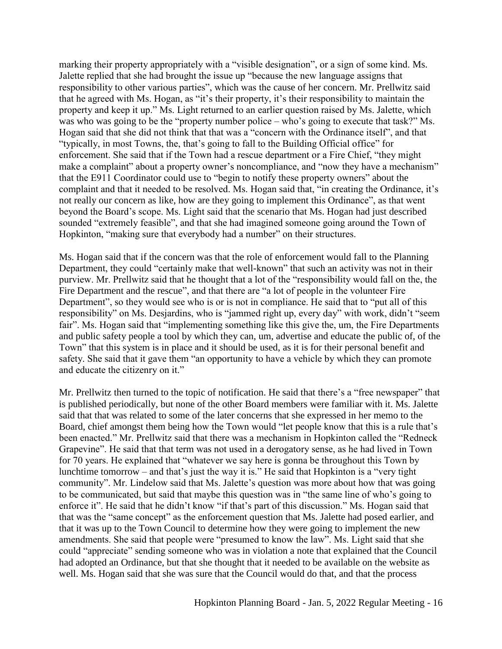marking their property appropriately with a "visible designation", or a sign of some kind. Ms. Jalette replied that she had brought the issue up "because the new language assigns that responsibility to other various parties", which was the cause of her concern. Mr. Prellwitz said that he agreed with Ms. Hogan, as "it's their property, it's their responsibility to maintain the property and keep it up." Ms. Light returned to an earlier question raised by Ms. Jalette, which was who was going to be the "property number police – who's going to execute that task?" Ms. Hogan said that she did not think that that was a "concern with the Ordinance itself", and that "typically, in most Towns, the, that's going to fall to the Building Official office" for enforcement. She said that if the Town had a rescue department or a Fire Chief, "they might make a complaint" about a property owner's noncompliance, and "now they have a mechanism" that the E911 Coordinator could use to "begin to notify these property owners" about the complaint and that it needed to be resolved. Ms. Hogan said that, "in creating the Ordinance, it's not really our concern as like, how are they going to implement this Ordinance", as that went beyond the Board's scope. Ms. Light said that the scenario that Ms. Hogan had just described sounded "extremely feasible", and that she had imagined someone going around the Town of Hopkinton, "making sure that everybody had a number" on their structures.

Ms. Hogan said that if the concern was that the role of enforcement would fall to the Planning Department, they could "certainly make that well-known" that such an activity was not in their purview. Mr. Prellwitz said that he thought that a lot of the "responsibility would fall on the, the Fire Department and the rescue", and that there are "a lot of people in the volunteer Fire Department", so they would see who is or is not in compliance. He said that to "put all of this responsibility" on Ms. Desjardins, who is "jammed right up, every day" with work, didn't "seem fair". Ms. Hogan said that "implementing something like this give the, um, the Fire Departments and public safety people a tool by which they can, um, advertise and educate the public of, of the Town" that this system is in place and it should be used, as it is for their personal benefit and safety. She said that it gave them "an opportunity to have a vehicle by which they can promote and educate the citizenry on it."

Mr. Prellwitz then turned to the topic of notification. He said that there's a "free newspaper" that is published periodically, but none of the other Board members were familiar with it. Ms. Jalette said that that was related to some of the later concerns that she expressed in her memo to the Board, chief amongst them being how the Town would "let people know that this is a rule that's been enacted." Mr. Prellwitz said that there was a mechanism in Hopkinton called the "Redneck Grapevine". He said that that term was not used in a derogatory sense, as he had lived in Town for 70 years. He explained that "whatever we say here is gonna be throughout this Town by lunchtime tomorrow – and that's just the way it is." He said that Hopkinton is a "very tight community". Mr. Lindelow said that Ms. Jalette's question was more about how that was going to be communicated, but said that maybe this question was in "the same line of who's going to enforce it". He said that he didn't know "if that's part of this discussion." Ms. Hogan said that that was the "same concept" as the enforcement question that Ms. Jalette had posed earlier, and that it was up to the Town Council to determine how they were going to implement the new amendments. She said that people were "presumed to know the law". Ms. Light said that she could "appreciate" sending someone who was in violation a note that explained that the Council had adopted an Ordinance, but that she thought that it needed to be available on the website as well. Ms. Hogan said that she was sure that the Council would do that, and that the process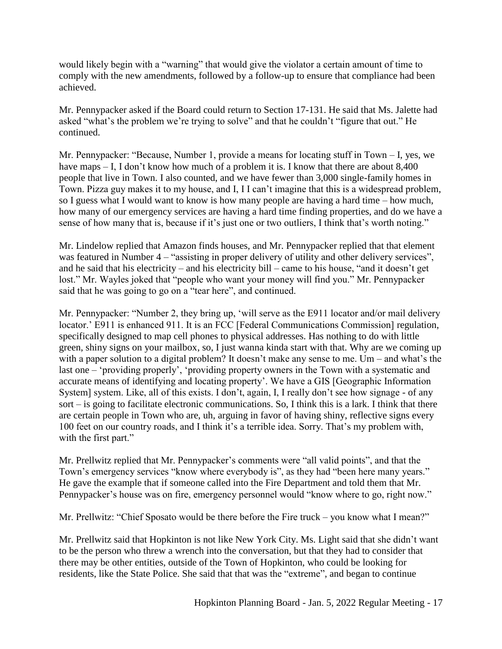would likely begin with a "warning" that would give the violator a certain amount of time to comply with the new amendments, followed by a follow-up to ensure that compliance had been achieved.

Mr. Pennypacker asked if the Board could return to Section 17-131. He said that Ms. Jalette had asked "what's the problem we're trying to solve" and that he couldn't "figure that out." He continued.

Mr. Pennypacker: "Because, Number 1, provide a means for locating stuff in Town – I, yes, we have maps – I, I don't know how much of a problem it is. I know that there are about 8,400 people that live in Town. I also counted, and we have fewer than 3,000 single-family homes in Town. Pizza guy makes it to my house, and I, I I can't imagine that this is a widespread problem, so I guess what I would want to know is how many people are having a hard time – how much, how many of our emergency services are having a hard time finding properties, and do we have a sense of how many that is, because if it's just one or two outliers, I think that's worth noting."

Mr. Lindelow replied that Amazon finds houses, and Mr. Pennypacker replied that that element was featured in Number 4 – "assisting in proper delivery of utility and other delivery services", and he said that his electricity – and his electricity bill – came to his house, "and it doesn't get lost." Mr. Wayles joked that "people who want your money will find you." Mr. Pennypacker said that he was going to go on a "tear here", and continued.

Mr. Pennypacker: "Number 2, they bring up, 'will serve as the E911 locator and/or mail delivery locator.' E911 is enhanced 911. It is an FCC [Federal Communications Commission] regulation, specifically designed to map cell phones to physical addresses. Has nothing to do with little green, shiny signs on your mailbox, so, I just wanna kinda start with that. Why are we coming up with a paper solution to a digital problem? It doesn't make any sense to me. Um – and what's the last one – 'providing properly', 'providing property owners in the Town with a systematic and accurate means of identifying and locating property'. We have a GIS [Geographic Information System] system. Like, all of this exists. I don't, again, I, I really don't see how signage - of any sort – is going to facilitate electronic communications. So, I think this is a lark. I think that there are certain people in Town who are, uh, arguing in favor of having shiny, reflective signs every 100 feet on our country roads, and I think it's a terrible idea. Sorry. That's my problem with, with the first part."

Mr. Prellwitz replied that Mr. Pennypacker's comments were "all valid points", and that the Town's emergency services "know where everybody is", as they had "been here many years." He gave the example that if someone called into the Fire Department and told them that Mr. Pennypacker's house was on fire, emergency personnel would "know where to go, right now."

Mr. Prellwitz: "Chief Sposato would be there before the Fire truck – you know what I mean?"

Mr. Prellwitz said that Hopkinton is not like New York City. Ms. Light said that she didn't want to be the person who threw a wrench into the conversation, but that they had to consider that there may be other entities, outside of the Town of Hopkinton, who could be looking for residents, like the State Police. She said that that was the "extreme", and began to continue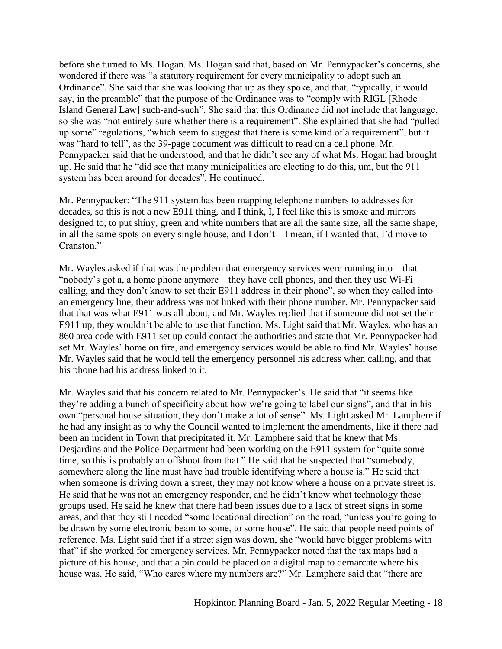before she turned to Ms. Hogan. Ms. Hogan said that, based on Mr. Pennypacker's concerns, she wondered if there was "a statutory requirement for every municipality to adopt such an Ordinance". She said that she was looking that up as they spoke, and that, "typically, it would say, in the preamble" that the purpose of the Ordinance was to "comply with RIGL [Rhode Island General Law] such-and-such". She said that this Ordinance did not include that language, so she was "not entirely sure whether there is a requirement". She explained that she had "pulled up some" regulations, "which seem to suggest that there is some kind of a requirement", but it was "hard to tell", as the 39-page document was difficult to read on a cell phone. Mr. Pennypacker said that he understood, and that he didn't see any of what Ms. Hogan had brought up. He said that he "did see that many municipalities are electing to do this, um, but the 911 system has been around for decades". He continued.

Mr. Pennypacker: "The 911 system has been mapping telephone numbers to addresses for decades, so this is not a new E911 thing, and I think, I, I feel like this is smoke and mirrors designed to, to put shiny, green and white numbers that are all the same size, all the same shape, in all the same spots on every single house, and I don't – I mean, if I wanted that, I'd move to Cranston."

Mr. Wayles asked if that was the problem that emergency services were running into – that "nobody's got a, a home phone anymore – they have cell phones, and then they use Wi-Fi calling, and they don't know to set their E911 address in their phone", so when they called into an emergency line, their address was not linked with their phone number. Mr. Pennypacker said that that was what E911 was all about, and Mr. Wayles replied that if someone did not set their E911 up, they wouldn't be able to use that function. Ms. Light said that Mr. Wayles, who has an 860 area code with E911 set up could contact the authorities and state that Mr. Pennypacker had set Mr. Wayles' home on fire, and emergency services would be able to find Mr. Wayles' house. Mr. Wayles said that he would tell the emergency personnel his address when calling, and that his phone had his address linked to it.

Mr. Wayles said that his concern related to Mr. Pennypacker's. He said that "it seems like they're adding a bunch of specificity about how we're going to label our signs", and that in his own "personal house situation, they don't make a lot of sense". Ms. Light asked Mr. Lamphere if he had any insight as to why the Council wanted to implement the amendments, like if there had been an incident in Town that precipitated it. Mr. Lamphere said that he knew that Ms. Desjardins and the Police Department had been working on the E911 system for "quite some time, so this is probably an offshoot from that." He said that he suspected that "somebody, somewhere along the line must have had trouble identifying where a house is." He said that when someone is driving down a street, they may not know where a house on a private street is. He said that he was not an emergency responder, and he didn't know what technology those groups used. He said he knew that there had been issues due to a lack of street signs in some areas, and that they still needed "some locational direction" on the road, "unless you're going to be drawn by some electronic beam to some, to some house". He said that people need points of reference. Ms. Light said that if a street sign was down, she "would have bigger problems with that" if she worked for emergency services. Mr. Pennypacker noted that the tax maps had a picture of his house, and that a pin could be placed on a digital map to demarcate where his house was. He said, "Who cares where my numbers are?" Mr. Lamphere said that "there are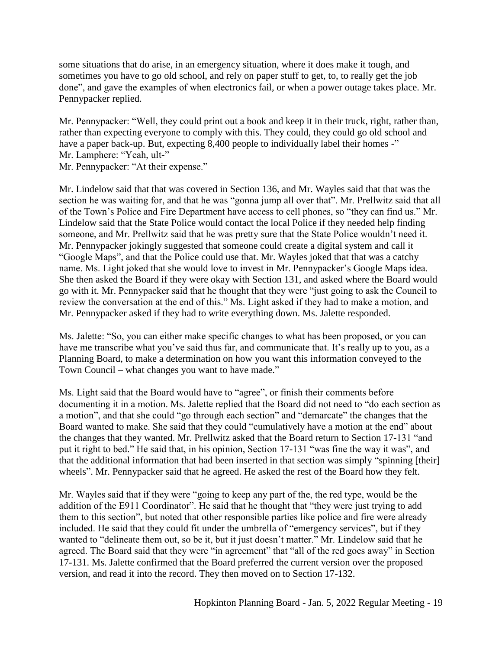some situations that do arise, in an emergency situation, where it does make it tough, and sometimes you have to go old school, and rely on paper stuff to get, to, to really get the job done", and gave the examples of when electronics fail, or when a power outage takes place. Mr. Pennypacker replied.

Mr. Pennypacker: "Well, they could print out a book and keep it in their truck, right, rather than, rather than expecting everyone to comply with this. They could, they could go old school and have a paper back-up. But, expecting 8,400 people to individually label their homes -" Mr. Lamphere: "Yeah, ult-"

Mr. Pennypacker: "At their expense."

Mr. Lindelow said that that was covered in Section 136, and Mr. Wayles said that that was the section he was waiting for, and that he was "gonna jump all over that". Mr. Prellwitz said that all of the Town's Police and Fire Department have access to cell phones, so "they can find us." Mr. Lindelow said that the State Police would contact the local Police if they needed help finding someone, and Mr. Prellwitz said that he was pretty sure that the State Police wouldn't need it. Mr. Pennypacker jokingly suggested that someone could create a digital system and call it "Google Maps", and that the Police could use that. Mr. Wayles joked that that was a catchy name. Ms. Light joked that she would love to invest in Mr. Pennypacker's Google Maps idea. She then asked the Board if they were okay with Section 131, and asked where the Board would go with it. Mr. Pennypacker said that he thought that they were "just going to ask the Council to review the conversation at the end of this." Ms. Light asked if they had to make a motion, and Mr. Pennypacker asked if they had to write everything down. Ms. Jalette responded.

Ms. Jalette: "So, you can either make specific changes to what has been proposed, or you can have me transcribe what you've said thus far, and communicate that. It's really up to you, as a Planning Board, to make a determination on how you want this information conveyed to the Town Council – what changes you want to have made."

Ms. Light said that the Board would have to "agree", or finish their comments before documenting it in a motion. Ms. Jalette replied that the Board did not need to "do each section as a motion", and that she could "go through each section" and "demarcate" the changes that the Board wanted to make. She said that they could "cumulatively have a motion at the end" about the changes that they wanted. Mr. Prellwitz asked that the Board return to Section 17-131 "and put it right to bed." He said that, in his opinion, Section 17-131 "was fine the way it was", and that the additional information that had been inserted in that section was simply "spinning [their] wheels". Mr. Pennypacker said that he agreed. He asked the rest of the Board how they felt.

Mr. Wayles said that if they were "going to keep any part of the, the red type, would be the addition of the E911 Coordinator". He said that he thought that "they were just trying to add them to this section", but noted that other responsible parties like police and fire were already included. He said that they could fit under the umbrella of "emergency services", but if they wanted to "delineate them out, so be it, but it just doesn't matter." Mr. Lindelow said that he agreed. The Board said that they were "in agreement" that "all of the red goes away" in Section 17-131. Ms. Jalette confirmed that the Board preferred the current version over the proposed version, and read it into the record. They then moved on to Section 17-132.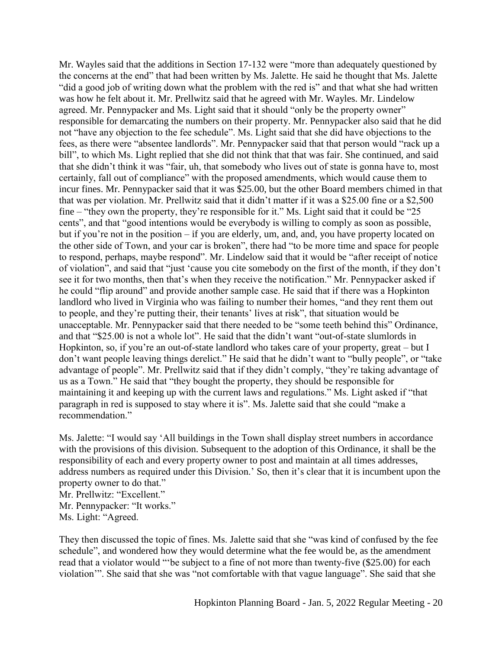Mr. Wayles said that the additions in Section 17-132 were "more than adequately questioned by the concerns at the end" that had been written by Ms. Jalette. He said he thought that Ms. Jalette "did a good job of writing down what the problem with the red is" and that what she had written was how he felt about it. Mr. Prellwitz said that he agreed with Mr. Wayles. Mr. Lindelow agreed. Mr. Pennypacker and Ms. Light said that it should "only be the property owner" responsible for demarcating the numbers on their property. Mr. Pennypacker also said that he did not "have any objection to the fee schedule". Ms. Light said that she did have objections to the fees, as there were "absentee landlords". Mr. Pennypacker said that that person would "rack up a bill", to which Ms. Light replied that she did not think that that was fair. She continued, and said that she didn't think it was "fair, uh, that somebody who lives out of state is gonna have to, most certainly, fall out of compliance" with the proposed amendments, which would cause them to incur fines. Mr. Pennypacker said that it was \$25.00, but the other Board members chimed in that that was per violation. Mr. Prellwitz said that it didn't matter if it was a \$25.00 fine or a \$2,500 fine – "they own the property, they're responsible for it." Ms. Light said that it could be "25 cents", and that "good intentions would be everybody is willing to comply as soon as possible, but if you're not in the position – if you are elderly, um, and, and, you have property located on the other side of Town, and your car is broken", there had "to be more time and space for people to respond, perhaps, maybe respond". Mr. Lindelow said that it would be "after receipt of notice of violation", and said that "just 'cause you cite somebody on the first of the month, if they don't see it for two months, then that's when they receive the notification." Mr. Pennypacker asked if he could "flip around" and provide another sample case. He said that if there was a Hopkinton landlord who lived in Virginia who was failing to number their homes, "and they rent them out to people, and they're putting their, their tenants' lives at risk", that situation would be unacceptable. Mr. Pennypacker said that there needed to be "some teeth behind this" Ordinance, and that "\$25.00 is not a whole lot". He said that the didn't want "out-of-state slumlords in Hopkinton, so, if you're an out-of-state landlord who takes care of your property, great – but I don't want people leaving things derelict." He said that he didn't want to "bully people", or "take advantage of people". Mr. Prellwitz said that if they didn't comply, "they're taking advantage of us as a Town." He said that "they bought the property, they should be responsible for maintaining it and keeping up with the current laws and regulations." Ms. Light asked if "that paragraph in red is supposed to stay where it is". Ms. Jalette said that she could "make a recommendation."

Ms. Jalette: "I would say 'All buildings in the Town shall display street numbers in accordance with the provisions of this division. Subsequent to the adoption of this Ordinance, it shall be the responsibility of each and every property owner to post and maintain at all times addresses, address numbers as required under this Division.' So, then it's clear that it is incumbent upon the property owner to do that."

Mr. Prellwitz: "Excellent."

Mr. Pennypacker: "It works."

Ms. Light: "Agreed.

They then discussed the topic of fines. Ms. Jalette said that she "was kind of confused by the fee schedule", and wondered how they would determine what the fee would be, as the amendment read that a violator would "'be subject to a fine of not more than twenty-five (\$25.00) for each violation'". She said that she was "not comfortable with that vague language". She said that she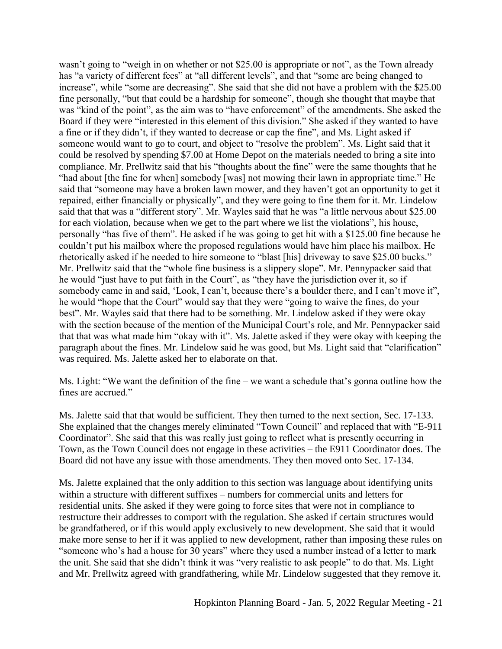wasn't going to "weigh in on whether or not \$25.00 is appropriate or not", as the Town already has "a variety of different fees" at "all different levels", and that "some are being changed to increase", while "some are decreasing". She said that she did not have a problem with the \$25.00 fine personally, "but that could be a hardship for someone", though she thought that maybe that was "kind of the point", as the aim was to "have enforcement" of the amendments. She asked the Board if they were "interested in this element of this division." She asked if they wanted to have a fine or if they didn't, if they wanted to decrease or cap the fine", and Ms. Light asked if someone would want to go to court, and object to "resolve the problem". Ms. Light said that it could be resolved by spending \$7.00 at Home Depot on the materials needed to bring a site into compliance. Mr. Prellwitz said that his "thoughts about the fine" were the same thoughts that he "had about [the fine for when] somebody [was] not mowing their lawn in appropriate time." He said that "someone may have a broken lawn mower, and they haven't got an opportunity to get it repaired, either financially or physically", and they were going to fine them for it. Mr. Lindelow said that that was a "different story". Mr. Wayles said that he was "a little nervous about \$25.00 for each violation, because when we get to the part where we list the violations", his house, personally "has five of them". He asked if he was going to get hit with a \$125.00 fine because he couldn't put his mailbox where the proposed regulations would have him place his mailbox. He rhetorically asked if he needed to hire someone to "blast [his] driveway to save \$25.00 bucks." Mr. Prellwitz said that the "whole fine business is a slippery slope". Mr. Pennypacker said that he would "just have to put faith in the Court", as "they have the jurisdiction over it, so if somebody came in and said, 'Look, I can't, because there's a boulder there, and I can't move it", he would "hope that the Court" would say that they were "going to waive the fines, do your best". Mr. Wayles said that there had to be something. Mr. Lindelow asked if they were okay with the section because of the mention of the Municipal Court's role, and Mr. Pennypacker said that that was what made him "okay with it". Ms. Jalette asked if they were okay with keeping the paragraph about the fines. Mr. Lindelow said he was good, but Ms. Light said that "clarification" was required. Ms. Jalette asked her to elaborate on that.

Ms. Light: "We want the definition of the fine – we want a schedule that's gonna outline how the fines are accrued."

Ms. Jalette said that that would be sufficient. They then turned to the next section, Sec. 17-133. She explained that the changes merely eliminated "Town Council" and replaced that with "E-911 Coordinator". She said that this was really just going to reflect what is presently occurring in Town, as the Town Council does not engage in these activities – the E911 Coordinator does. The Board did not have any issue with those amendments. They then moved onto Sec. 17-134.

Ms. Jalette explained that the only addition to this section was language about identifying units within a structure with different suffixes – numbers for commercial units and letters for residential units. She asked if they were going to force sites that were not in compliance to restructure their addresses to comport with the regulation. She asked if certain structures would be grandfathered, or if this would apply exclusively to new development. She said that it would make more sense to her if it was applied to new development, rather than imposing these rules on "someone who's had a house for 30 years" where they used a number instead of a letter to mark the unit. She said that she didn't think it was "very realistic to ask people" to do that. Ms. Light and Mr. Prellwitz agreed with grandfathering, while Mr. Lindelow suggested that they remove it.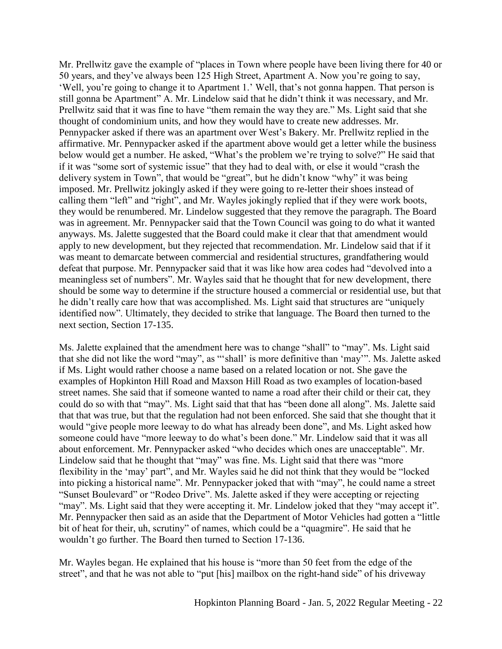Mr. Prellwitz gave the example of "places in Town where people have been living there for 40 or 50 years, and they've always been 125 High Street, Apartment A. Now you're going to say, 'Well, you're going to change it to Apartment 1.' Well, that's not gonna happen. That person is still gonna be Apartment" A. Mr. Lindelow said that he didn't think it was necessary, and Mr. Prellwitz said that it was fine to have "them remain the way they are." Ms. Light said that she thought of condominium units, and how they would have to create new addresses. Mr. Pennypacker asked if there was an apartment over West's Bakery. Mr. Prellwitz replied in the affirmative. Mr. Pennypacker asked if the apartment above would get a letter while the business below would get a number. He asked, "What's the problem we're trying to solve?" He said that if it was "some sort of systemic issue" that they had to deal with, or else it would "crash the delivery system in Town", that would be "great", but he didn't know "why" it was being imposed. Mr. Prellwitz jokingly asked if they were going to re-letter their shoes instead of calling them "left" and "right", and Mr. Wayles jokingly replied that if they were work boots, they would be renumbered. Mr. Lindelow suggested that they remove the paragraph. The Board was in agreement. Mr. Pennypacker said that the Town Council was going to do what it wanted anyways. Ms. Jalette suggested that the Board could make it clear that that amendment would apply to new development, but they rejected that recommendation. Mr. Lindelow said that if it was meant to demarcate between commercial and residential structures, grandfathering would defeat that purpose. Mr. Pennypacker said that it was like how area codes had "devolved into a meaningless set of numbers". Mr. Wayles said that he thought that for new development, there should be some way to determine if the structure housed a commercial or residential use, but that he didn't really care how that was accomplished. Ms. Light said that structures are "uniquely identified now". Ultimately, they decided to strike that language. The Board then turned to the next section, Section 17-135.

Ms. Jalette explained that the amendment here was to change "shall" to "may". Ms. Light said that she did not like the word "may", as "'shall' is more definitive than 'may'". Ms. Jalette asked if Ms. Light would rather choose a name based on a related location or not. She gave the examples of Hopkinton Hill Road and Maxson Hill Road as two examples of location-based street names. She said that if someone wanted to name a road after their child or their cat, they could do so with that "may". Ms. Light said that that has "been done all along". Ms. Jalette said that that was true, but that the regulation had not been enforced. She said that she thought that it would "give people more leeway to do what has already been done", and Ms. Light asked how someone could have "more leeway to do what's been done." Mr. Lindelow said that it was all about enforcement. Mr. Pennypacker asked "who decides which ones are unacceptable". Mr. Lindelow said that he thought that "may" was fine. Ms. Light said that there was "more flexibility in the 'may' part", and Mr. Wayles said he did not think that they would be "locked into picking a historical name". Mr. Pennypacker joked that with "may", he could name a street "Sunset Boulevard" or "Rodeo Drive". Ms. Jalette asked if they were accepting or rejecting "may". Ms. Light said that they were accepting it. Mr. Lindelow joked that they "may accept it". Mr. Pennypacker then said as an aside that the Department of Motor Vehicles had gotten a "little bit of heat for their, uh, scrutiny" of names, which could be a "quagmire". He said that he wouldn't go further. The Board then turned to Section 17-136.

Mr. Wayles began. He explained that his house is "more than 50 feet from the edge of the street", and that he was not able to "put [his] mailbox on the right-hand side" of his driveway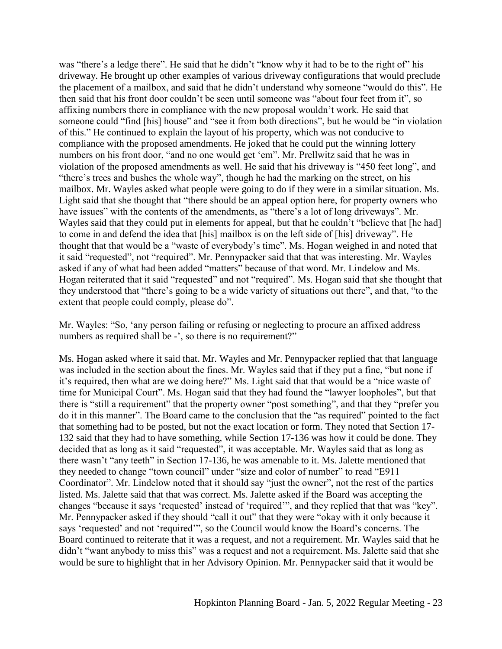was "there's a ledge there". He said that he didn't "know why it had to be to the right of" his driveway. He brought up other examples of various driveway configurations that would preclude the placement of a mailbox, and said that he didn't understand why someone "would do this". He then said that his front door couldn't be seen until someone was "about four feet from it", so affixing numbers there in compliance with the new proposal wouldn't work. He said that someone could "find [his] house" and "see it from both directions", but he would be "in violation of this." He continued to explain the layout of his property, which was not conducive to compliance with the proposed amendments. He joked that he could put the winning lottery numbers on his front door, "and no one would get 'em". Mr. Prellwitz said that he was in violation of the proposed amendments as well. He said that his driveway is "450 feet long", and "there's trees and bushes the whole way", though he had the marking on the street, on his mailbox. Mr. Wayles asked what people were going to do if they were in a similar situation. Ms. Light said that she thought that "there should be an appeal option here, for property owners who have issues" with the contents of the amendments, as "there's a lot of long driveways". Mr. Wayles said that they could put in elements for appeal, but that he couldn't "believe that [he had] to come in and defend the idea that [his] mailbox is on the left side of [his] driveway". He thought that that would be a "waste of everybody's time". Ms. Hogan weighed in and noted that it said "requested", not "required". Mr. Pennypacker said that that was interesting. Mr. Wayles asked if any of what had been added "matters" because of that word. Mr. Lindelow and Ms. Hogan reiterated that it said "requested" and not "required". Ms. Hogan said that she thought that they understood that "there's going to be a wide variety of situations out there", and that, "to the extent that people could comply, please do".

Mr. Wayles: "So, 'any person failing or refusing or neglecting to procure an affixed address numbers as required shall be -', so there is no requirement?"

Ms. Hogan asked where it said that. Mr. Wayles and Mr. Pennypacker replied that that language was included in the section about the fines. Mr. Wayles said that if they put a fine, "but none if it's required, then what are we doing here?" Ms. Light said that that would be a "nice waste of time for Municipal Court". Ms. Hogan said that they had found the "lawyer loopholes", but that there is "still a requirement" that the property owner "post something", and that they "prefer you do it in this manner". The Board came to the conclusion that the "as required" pointed to the fact that something had to be posted, but not the exact location or form. They noted that Section 17- 132 said that they had to have something, while Section 17-136 was how it could be done. They decided that as long as it said "requested", it was acceptable. Mr. Wayles said that as long as there wasn't "any teeth" in Section 17-136, he was amenable to it. Ms. Jalette mentioned that they needed to change "town council" under "size and color of number" to read "E911 Coordinator". Mr. Lindelow noted that it should say "just the owner", not the rest of the parties listed. Ms. Jalette said that that was correct. Ms. Jalette asked if the Board was accepting the changes "because it says 'requested' instead of 'required'", and they replied that that was "key". Mr. Pennypacker asked if they should "call it out" that they were "okay with it only because it says 'requested' and not 'required'", so the Council would know the Board's concerns. The Board continued to reiterate that it was a request, and not a requirement. Mr. Wayles said that he didn't "want anybody to miss this" was a request and not a requirement. Ms. Jalette said that she would be sure to highlight that in her Advisory Opinion. Mr. Pennypacker said that it would be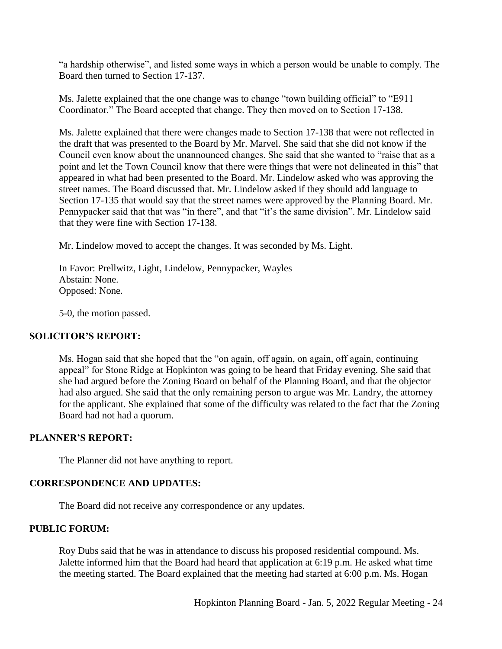"a hardship otherwise", and listed some ways in which a person would be unable to comply. The Board then turned to Section 17-137.

Ms. Jalette explained that the one change was to change "town building official" to "E911 Coordinator." The Board accepted that change. They then moved on to Section 17-138.

Ms. Jalette explained that there were changes made to Section 17-138 that were not reflected in the draft that was presented to the Board by Mr. Marvel. She said that she did not know if the Council even know about the unannounced changes. She said that she wanted to "raise that as a point and let the Town Council know that there were things that were not delineated in this" that appeared in what had been presented to the Board. Mr. Lindelow asked who was approving the street names. The Board discussed that. Mr. Lindelow asked if they should add language to Section 17-135 that would say that the street names were approved by the Planning Board. Mr. Pennypacker said that that was "in there", and that "it's the same division". Mr. Lindelow said that they were fine with Section 17-138.

Mr. Lindelow moved to accept the changes. It was seconded by Ms. Light.

In Favor: Prellwitz, Light, Lindelow, Pennypacker, Wayles Abstain: None. Opposed: None.

5-0, the motion passed.

# **SOLICITOR'S REPORT:**

Ms. Hogan said that she hoped that the "on again, off again, on again, off again, continuing appeal" for Stone Ridge at Hopkinton was going to be heard that Friday evening. She said that she had argued before the Zoning Board on behalf of the Planning Board, and that the objector had also argued. She said that the only remaining person to argue was Mr. Landry, the attorney for the applicant. She explained that some of the difficulty was related to the fact that the Zoning Board had not had a quorum.

#### **PLANNER'S REPORT:**

The Planner did not have anything to report.

### **CORRESPONDENCE AND UPDATES:**

The Board did not receive any correspondence or any updates.

#### **PUBLIC FORUM:**

Roy Dubs said that he was in attendance to discuss his proposed residential compound. Ms. Jalette informed him that the Board had heard that application at 6:19 p.m. He asked what time the meeting started. The Board explained that the meeting had started at 6:00 p.m. Ms. Hogan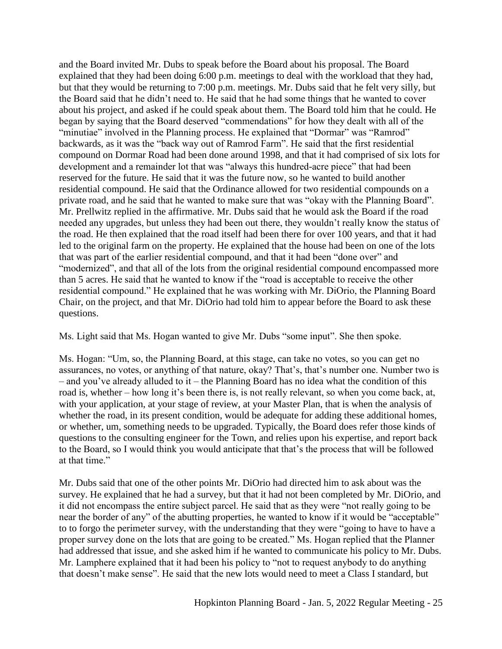and the Board invited Mr. Dubs to speak before the Board about his proposal. The Board explained that they had been doing 6:00 p.m. meetings to deal with the workload that they had, but that they would be returning to 7:00 p.m. meetings. Mr. Dubs said that he felt very silly, but the Board said that he didn't need to. He said that he had some things that he wanted to cover about his project, and asked if he could speak about them. The Board told him that he could. He began by saying that the Board deserved "commendations" for how they dealt with all of the "minutiae" involved in the Planning process. He explained that "Dormar" was "Ramrod" backwards, as it was the "back way out of Ramrod Farm". He said that the first residential compound on Dormar Road had been done around 1998, and that it had comprised of six lots for development and a remainder lot that was "always this hundred-acre piece" that had been reserved for the future. He said that it was the future now, so he wanted to build another residential compound. He said that the Ordinance allowed for two residential compounds on a private road, and he said that he wanted to make sure that was "okay with the Planning Board". Mr. Prellwitz replied in the affirmative. Mr. Dubs said that he would ask the Board if the road needed any upgrades, but unless they had been out there, they wouldn't really know the status of the road. He then explained that the road itself had been there for over 100 years, and that it had led to the original farm on the property. He explained that the house had been on one of the lots that was part of the earlier residential compound, and that it had been "done over" and "modernized", and that all of the lots from the original residential compound encompassed more than 5 acres. He said that he wanted to know if the "road is acceptable to receive the other residential compound." He explained that he was working with Mr. DiOrio, the Planning Board Chair, on the project, and that Mr. DiOrio had told him to appear before the Board to ask these questions.

Ms. Light said that Ms. Hogan wanted to give Mr. Dubs "some input". She then spoke.

Ms. Hogan: "Um, so, the Planning Board, at this stage, can take no votes, so you can get no assurances, no votes, or anything of that nature, okay? That's, that's number one. Number two is  $-$  and you've already alluded to it  $-$  the Planning Board has no idea what the condition of this road is, whether – how long it's been there is, is not really relevant, so when you come back, at, with your application, at your stage of review, at your Master Plan, that is when the analysis of whether the road, in its present condition, would be adequate for adding these additional homes, or whether, um, something needs to be upgraded. Typically, the Board does refer those kinds of questions to the consulting engineer for the Town, and relies upon his expertise, and report back to the Board, so I would think you would anticipate that that's the process that will be followed at that time."

Mr. Dubs said that one of the other points Mr. DiOrio had directed him to ask about was the survey. He explained that he had a survey, but that it had not been completed by Mr. DiOrio, and it did not encompass the entire subject parcel. He said that as they were "not really going to be near the border of any" of the abutting properties, he wanted to know if it would be "acceptable" to to forgo the perimeter survey, with the understanding that they were "going to have to have a proper survey done on the lots that are going to be created." Ms. Hogan replied that the Planner had addressed that issue, and she asked him if he wanted to communicate his policy to Mr. Dubs. Mr. Lamphere explained that it had been his policy to "not to request anybody to do anything that doesn't make sense". He said that the new lots would need to meet a Class I standard, but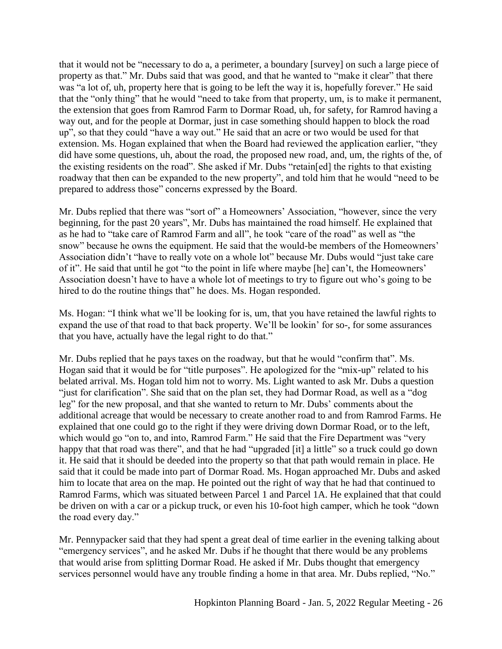that it would not be "necessary to do a, a perimeter, a boundary [survey] on such a large piece of property as that." Mr. Dubs said that was good, and that he wanted to "make it clear" that there was "a lot of, uh, property here that is going to be left the way it is, hopefully forever." He said that the "only thing" that he would "need to take from that property, um, is to make it permanent, the extension that goes from Ramrod Farm to Dormar Road, uh, for safety, for Ramrod having a way out, and for the people at Dormar, just in case something should happen to block the road up", so that they could "have a way out." He said that an acre or two would be used for that extension. Ms. Hogan explained that when the Board had reviewed the application earlier, "they did have some questions, uh, about the road, the proposed new road, and, um, the rights of the, of the existing residents on the road". She asked if Mr. Dubs "retain[ed] the rights to that existing roadway that then can be expanded to the new property", and told him that he would "need to be prepared to address those" concerns expressed by the Board.

Mr. Dubs replied that there was "sort of" a Homeowners' Association, "however, since the very beginning, for the past 20 years", Mr. Dubs has maintained the road himself. He explained that as he had to "take care of Ramrod Farm and all", he took "care of the road" as well as "the snow" because he owns the equipment. He said that the would-be members of the Homeowners' Association didn't "have to really vote on a whole lot" because Mr. Dubs would "just take care of it". He said that until he got "to the point in life where maybe [he] can't, the Homeowners' Association doesn't have to have a whole lot of meetings to try to figure out who's going to be hired to do the routine things that" he does. Ms. Hogan responded.

Ms. Hogan: "I think what we'll be looking for is, um, that you have retained the lawful rights to expand the use of that road to that back property. We'll be lookin' for so-, for some assurances that you have, actually have the legal right to do that."

Mr. Dubs replied that he pays taxes on the roadway, but that he would "confirm that". Ms. Hogan said that it would be for "title purposes". He apologized for the "mix-up" related to his belated arrival. Ms. Hogan told him not to worry. Ms. Light wanted to ask Mr. Dubs a question "just for clarification". She said that on the plan set, they had Dormar Road, as well as a "dog leg" for the new proposal, and that she wanted to return to Mr. Dubs' comments about the additional acreage that would be necessary to create another road to and from Ramrod Farms. He explained that one could go to the right if they were driving down Dormar Road, or to the left, which would go "on to, and into, Ramrod Farm." He said that the Fire Department was "very happy that that road was there", and that he had "upgraded [it] a little" so a truck could go down it. He said that it should be deeded into the property so that that path would remain in place. He said that it could be made into part of Dormar Road. Ms. Hogan approached Mr. Dubs and asked him to locate that area on the map. He pointed out the right of way that he had that continued to Ramrod Farms, which was situated between Parcel 1 and Parcel 1A. He explained that that could be driven on with a car or a pickup truck, or even his 10-foot high camper, which he took "down the road every day."

Mr. Pennypacker said that they had spent a great deal of time earlier in the evening talking about "emergency services", and he asked Mr. Dubs if he thought that there would be any problems that would arise from splitting Dormar Road. He asked if Mr. Dubs thought that emergency services personnel would have any trouble finding a home in that area. Mr. Dubs replied, "No."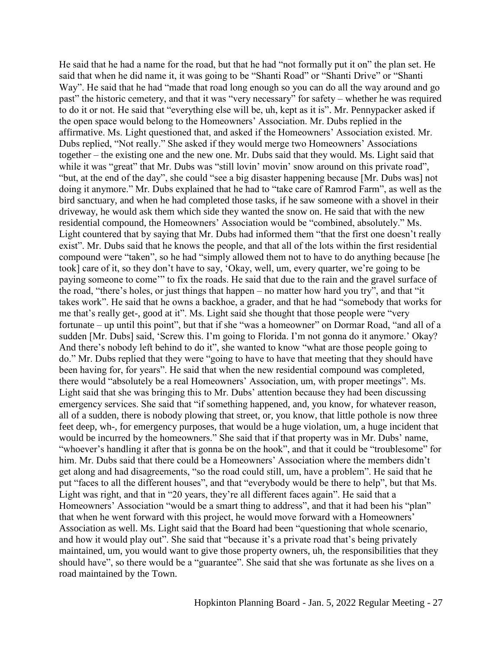He said that he had a name for the road, but that he had "not formally put it on" the plan set. He said that when he did name it, it was going to be "Shanti Road" or "Shanti Drive" or "Shanti Way". He said that he had "made that road long enough so you can do all the way around and go past" the historic cemetery, and that it was "very necessary" for safety – whether he was required to do it or not. He said that "everything else will be, uh, kept as it is". Mr. Pennypacker asked if the open space would belong to the Homeowners' Association. Mr. Dubs replied in the affirmative. Ms. Light questioned that, and asked if the Homeowners' Association existed. Mr. Dubs replied, "Not really." She asked if they would merge two Homeowners' Associations together – the existing one and the new one. Mr. Dubs said that they would. Ms. Light said that while it was "great" that Mr. Dubs was "still lovin' movin' snow around on this private road", "but, at the end of the day", she could "see a big disaster happening because [Mr. Dubs was] not doing it anymore." Mr. Dubs explained that he had to "take care of Ramrod Farm", as well as the bird sanctuary, and when he had completed those tasks, if he saw someone with a shovel in their driveway, he would ask them which side they wanted the snow on. He said that with the new residential compound, the Homeowners' Association would be "combined, absolutely." Ms. Light countered that by saying that Mr. Dubs had informed them "that the first one doesn't really exist". Mr. Dubs said that he knows the people, and that all of the lots within the first residential compound were "taken", so he had "simply allowed them not to have to do anything because [he took] care of it, so they don't have to say, 'Okay, well, um, every quarter, we're going to be paying someone to come'" to fix the roads. He said that due to the rain and the gravel surface of the road, "there's holes, or just things that happen – no matter how hard you try", and that "it takes work". He said that he owns a backhoe, a grader, and that he had "somebody that works for me that's really get-, good at it". Ms. Light said she thought that those people were "very fortunate – up until this point", but that if she "was a homeowner" on Dormar Road, "and all of a sudden [Mr. Dubs] said, 'Screw this. I'm going to Florida. I'm not gonna do it anymore.' Okay? And there's nobody left behind to do it", she wanted to know "what are those people going to do." Mr. Dubs replied that they were "going to have to have that meeting that they should have been having for, for years". He said that when the new residential compound was completed, there would "absolutely be a real Homeowners' Association, um, with proper meetings". Ms. Light said that she was bringing this to Mr. Dubs' attention because they had been discussing emergency services. She said that "if something happened, and, you know, for whatever reason, all of a sudden, there is nobody plowing that street, or, you know, that little pothole is now three feet deep, wh-, for emergency purposes, that would be a huge violation, um, a huge incident that would be incurred by the homeowners." She said that if that property was in Mr. Dubs' name, "whoever's handling it after that is gonna be on the hook", and that it could be "troublesome" for him. Mr. Dubs said that there could be a Homeowners' Association where the members didn't get along and had disagreements, "so the road could still, um, have a problem". He said that he put "faces to all the different houses", and that "everybody would be there to help", but that Ms. Light was right, and that in "20 years, they're all different faces again". He said that a Homeowners' Association "would be a smart thing to address", and that it had been his "plan" that when he went forward with this project, he would move forward with a Homeowners' Association as well. Ms. Light said that the Board had been "questioning that whole scenario, and how it would play out". She said that "because it's a private road that's being privately maintained, um, you would want to give those property owners, uh, the responsibilities that they should have", so there would be a "guarantee". She said that she was fortunate as she lives on a road maintained by the Town.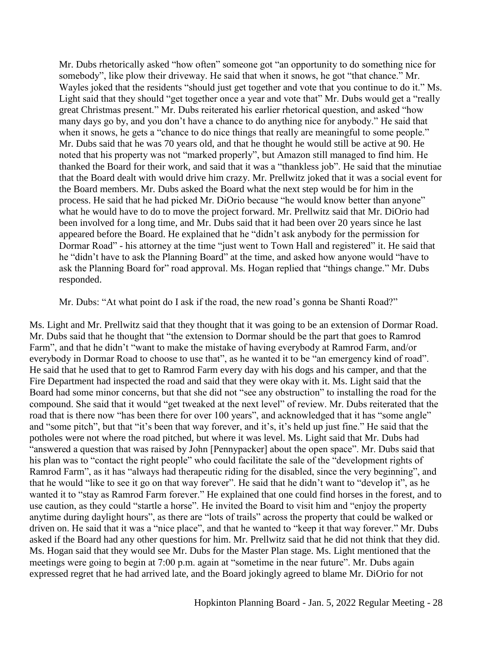Mr. Dubs rhetorically asked "how often" someone got "an opportunity to do something nice for somebody", like plow their driveway. He said that when it snows, he got "that chance." Mr. Wayles joked that the residents "should just get together and vote that you continue to do it." Ms. Light said that they should "get together once a year and vote that" Mr. Dubs would get a "really great Christmas present." Mr. Dubs reiterated his earlier rhetorical question, and asked "how many days go by, and you don't have a chance to do anything nice for anybody." He said that when it snows, he gets a "chance to do nice things that really are meaningful to some people." Mr. Dubs said that he was 70 years old, and that he thought he would still be active at 90. He noted that his property was not "marked properly", but Amazon still managed to find him. He thanked the Board for their work, and said that it was a "thankless job". He said that the minutiae that the Board dealt with would drive him crazy. Mr. Prellwitz joked that it was a social event for the Board members. Mr. Dubs asked the Board what the next step would be for him in the process. He said that he had picked Mr. DiOrio because "he would know better than anyone" what he would have to do to move the project forward. Mr. Prellwitz said that Mr. DiOrio had been involved for a long time, and Mr. Dubs said that it had been over 20 years since he last appeared before the Board. He explained that he "didn't ask anybody for the permission for Dormar Road" - his attorney at the time "just went to Town Hall and registered" it. He said that he "didn't have to ask the Planning Board" at the time, and asked how anyone would "have to ask the Planning Board for" road approval. Ms. Hogan replied that "things change." Mr. Dubs responded.

Mr. Dubs: "At what point do I ask if the road, the new road's gonna be Shanti Road?"

Ms. Light and Mr. Prellwitz said that they thought that it was going to be an extension of Dormar Road. Mr. Dubs said that he thought that "the extension to Dormar should be the part that goes to Ramrod Farm", and that he didn't "want to make the mistake of having everybody at Ramrod Farm, and/or everybody in Dormar Road to choose to use that", as he wanted it to be "an emergency kind of road". He said that he used that to get to Ramrod Farm every day with his dogs and his camper, and that the Fire Department had inspected the road and said that they were okay with it. Ms. Light said that the Board had some minor concerns, but that she did not "see any obstruction" to installing the road for the compound. She said that it would "get tweaked at the next level" of review. Mr. Dubs reiterated that the road that is there now "has been there for over 100 years", and acknowledged that it has "some angle" and "some pitch", but that "it's been that way forever, and it's, it's held up just fine." He said that the potholes were not where the road pitched, but where it was level. Ms. Light said that Mr. Dubs had "answered a question that was raised by John [Pennypacker] about the open space". Mr. Dubs said that his plan was to "contact the right people" who could facilitate the sale of the "development rights of Ramrod Farm", as it has "always had therapeutic riding for the disabled, since the very beginning", and that he would "like to see it go on that way forever". He said that he didn't want to "develop it", as he wanted it to "stay as Ramrod Farm forever." He explained that one could find horses in the forest, and to use caution, as they could "startle a horse". He invited the Board to visit him and "enjoy the property anytime during daylight hours", as there are "lots of trails" across the property that could be walked or driven on. He said that it was a "nice place", and that he wanted to "keep it that way forever." Mr. Dubs asked if the Board had any other questions for him. Mr. Prellwitz said that he did not think that they did. Ms. Hogan said that they would see Mr. Dubs for the Master Plan stage. Ms. Light mentioned that the meetings were going to begin at 7:00 p.m. again at "sometime in the near future". Mr. Dubs again expressed regret that he had arrived late, and the Board jokingly agreed to blame Mr. DiOrio for not